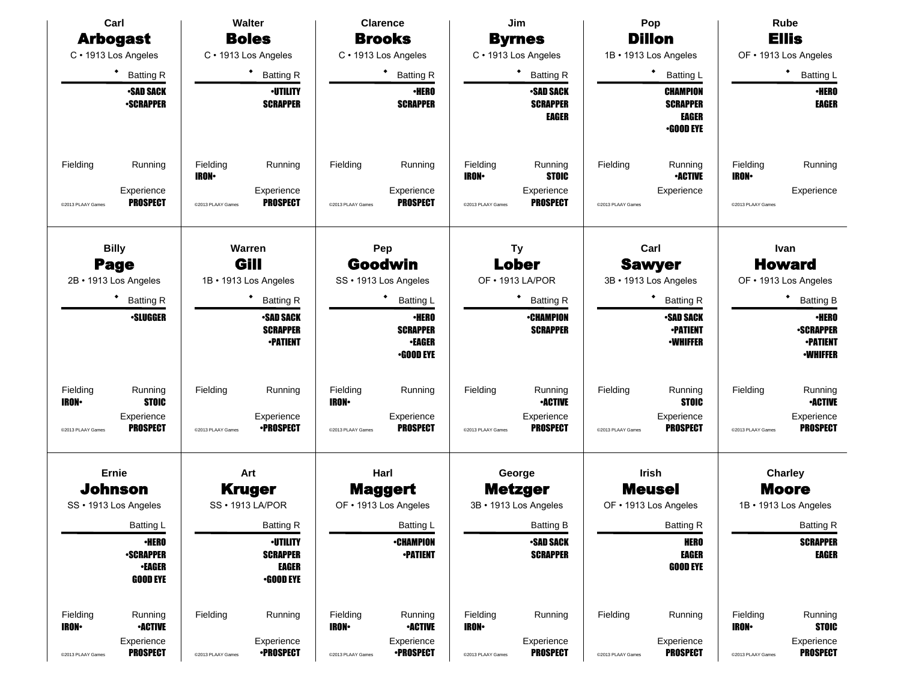| Carl                                                                      | <b>Walter</b>                                                                            | <b>Clarence</b>                                                           | Jim                                                                                                      | Pop                                                                      | <b>Rube</b>                                                           |
|---------------------------------------------------------------------------|------------------------------------------------------------------------------------------|---------------------------------------------------------------------------|----------------------------------------------------------------------------------------------------------|--------------------------------------------------------------------------|-----------------------------------------------------------------------|
| <b>Arbogast</b>                                                           | <b>Boles</b>                                                                             | <b>Brooks</b>                                                             | <b>Byrnes</b>                                                                                            | <b>Dillon</b>                                                            | <b>Ellis</b>                                                          |
| C · 1913 Los Angeles                                                      | C · 1913 Los Angeles                                                                     | C · 1913 Los Angeles                                                      | C · 1913 Los Angeles                                                                                     | 1B · 1913 Los Angeles                                                    | OF . 1913 Los Angeles                                                 |
| <b>Batting R</b>                                                          | <b>Batting R</b>                                                                         | ٠<br><b>Batting R</b>                                                     | <b>Batting R</b>                                                                                         | <b>Batting L</b>                                                         | ٠<br><b>Batting L</b>                                                 |
| <b>-SAD SACK</b>                                                          | <b>·UTILITY</b>                                                                          | <b>•HERO</b>                                                              | <b>-SAD SACK</b>                                                                                         | CHAMPION                                                                 | <b>•HERO</b>                                                          |
| <b>•SCRAPPER</b>                                                          | <b>SCRAPPER</b>                                                                          | <b>SCRAPPER</b>                                                           | <b>SCRAPPER</b><br>EAGER                                                                                 | <b>SCRAPPER</b><br>EAGER<br><b>.GOOD EYE</b>                             | <b>EAGER</b>                                                          |
| Running<br>Fielding<br>Experience<br><b>PROSPECT</b><br>@2013 PLAAY Games | Fielding<br>Running<br><b>IRON</b><br>Experience<br><b>PROSPECT</b><br>@2013 PLAAY Games | Fielding<br>Running<br>Experience<br><b>PROSPECT</b><br>@2013 PLAAY Games | Fielding<br>Running<br><b>STOIC</b><br><b>IRON</b><br>Experience<br><b>PROSPECT</b><br>@2013 PLAAY Games | Fielding<br>Running<br><b>•ACTIVE</b><br>Experience<br>@2013 PLAAY Games | Fielding<br>Running<br><b>IRON</b><br>Experience<br>@2013 PLAAY Games |
| <b>Billy</b>                                                              | Warren<br>Gill                                                                           | Pep                                                                       | <b>Ty</b>                                                                                                | Carl                                                                     | Ivan                                                                  |
| <b>Page</b><br>2B · 1913 Los Angeles                                      | 1B · 1913 Los Angeles                                                                    | Goodwin<br>SS · 1913 Los Angeles                                          | Lober<br>OF • 1913 LA/POR                                                                                | <b>Sawyer</b><br>3B · 1913 Los Angeles                                   | <b>Howard</b><br>OF . 1913 Los Angeles                                |
|                                                                           |                                                                                          |                                                                           |                                                                                                          |                                                                          |                                                                       |
| <b>Batting R</b><br><b>•SLUGGER</b>                                       | <b>Batting R</b><br><b>•SAD SACK</b>                                                     | <b>Batting L</b><br><b>•HERO</b>                                          | <b>Batting R</b><br><b>•CHAMPION</b>                                                                     | <b>Batting R</b><br><b>•SAD SACK</b>                                     | <b>Batting B</b><br><b>•HERO</b>                                      |
|                                                                           | <b>SCRAPPER</b><br><b>-PATIENT</b>                                                       | <b>SCRAPPER</b><br><b>•EAGER</b><br><b>•GOOD EYE</b>                      | <b>SCRAPPER</b>                                                                                          | <b>•PATIENT</b><br><b>•WHIFFER</b>                                       | <b>-SCRAPPER</b><br><b>-PATIENT</b><br><b>-WHIFFER</b>                |
| Fielding<br>Running<br><b>STOIC</b><br><b>IRON-</b>                       | Fielding<br>Running                                                                      | Fielding<br>Running<br><b>IRON</b>                                        | Fielding<br>Running<br><b>-ACTIVE</b>                                                                    | Fielding<br>Running<br><b>STOIC</b>                                      | Fielding<br>Running<br><b>•ACTIVE</b>                                 |
| Experience<br><b>PROSPECT</b><br>@2013 PLAAY Games                        | Experience<br><b>•PROSPECT</b><br>@2013 PLAAY Games                                      | Experience<br><b>PROSPECT</b><br>@2013 PLAAY Games                        | Experience<br><b>PROSPECT</b><br>@2013 PLAAY Games                                                       | Experience<br><b>PROSPECT</b><br>@2013 PLAAY Games                       | Experience<br><b>PROSPECT</b><br>@2013 PLAAY Games                    |
| Ernie                                                                     | Art                                                                                      | Harl                                                                      | George                                                                                                   | Irish                                                                    | <b>Charley</b>                                                        |
| Johnson                                                                   | <b>Kruger</b>                                                                            | <b>Maggert</b>                                                            | <b>Metzger</b>                                                                                           | <b>Meusel</b>                                                            | <b>Moore</b>                                                          |
| SS · 1913 Los Angeles                                                     | SS · 1913 LA/POR                                                                         | OF • 1913 Los Angeles                                                     | 3B · 1913 Los Angeles                                                                                    | OF . 1913 Los Angeles                                                    | 1B · 1913 Los Angeles                                                 |
| Batting L                                                                 | Batting R                                                                                | Batting L                                                                 | Batting B                                                                                                | Batting R                                                                | <b>Batting R</b>                                                      |
| <b>•HERO</b><br><b>-SCRAPPER</b>                                          | <b>•UTILITY</b><br><b>SCRAPPER</b>                                                       | <b>•CHAMPION</b><br><b>-PATIENT</b>                                       | <b>•SAD SACK</b><br><b>SCRAPPER</b>                                                                      | <b>HERO</b><br><b>EAGER</b>                                              | <b>SCRAPPER</b><br><b>EAGER</b>                                       |
| <b>•EAGER</b><br><b>GOOD EYE</b>                                          | <b>EAGER</b><br>$\cdot$ GOOD EYE                                                         |                                                                           |                                                                                                          | <b>GOOD EYE</b>                                                          |                                                                       |
| Fielding<br>Running<br><b>IRON-</b><br><b>•ACTIVE</b>                     | Fielding<br>Running                                                                      | Fielding<br>Running<br><b>IRON-</b><br><b>•ACTIVE</b>                     | Fielding<br>Running<br><b>IRON</b>                                                                       | Fielding<br>Running                                                      | Fielding<br>Running<br><b>STOIC</b><br><b>IRON</b>                    |
| Experience<br><b>PROSPECT</b><br>@2013 PLAAY Games                        | Experience<br><b>•PROSPECT</b><br>@2013 PLAAY Games                                      | Experience<br><b>•PROSPECT</b><br>@2013 PLAAY Games                       | Experience<br><b>PROSPECT</b><br>@2013 PLAAY Games                                                       | Experience<br><b>PROSPECT</b><br>@2013 PLAAY Games                       | Experience<br><b>PROSPECT</b><br>@2013 PLAAY Games                    |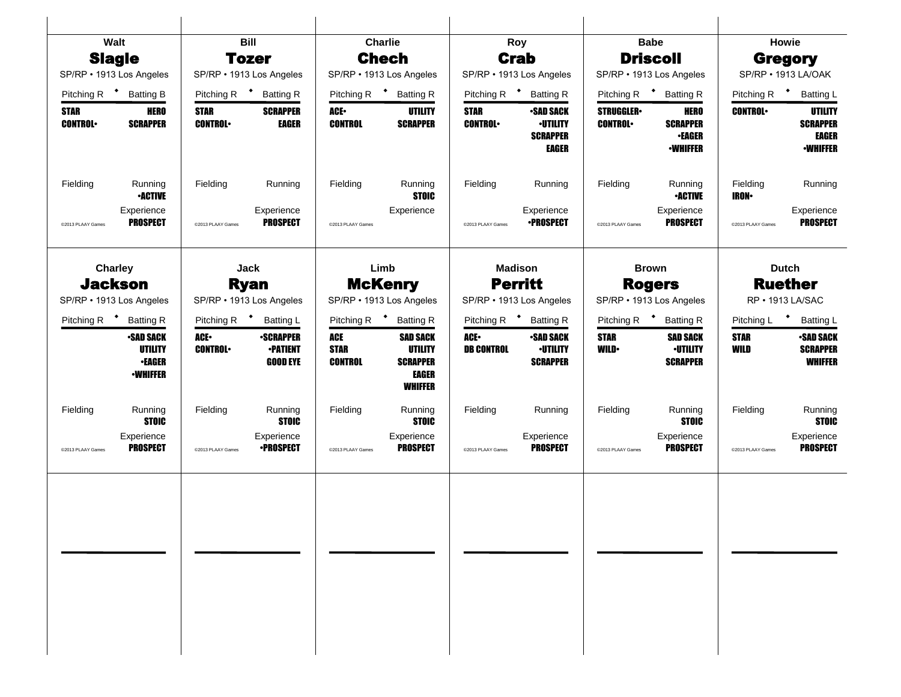|                               | Walt                                                            |                               | <b>Bill</b>                                            |                                      | <b>Charlie</b>                                                                         |                               | Roy                                                    |                                    | <b>Babe</b>                                           |                           | Howie                                                 |
|-------------------------------|-----------------------------------------------------------------|-------------------------------|--------------------------------------------------------|--------------------------------------|----------------------------------------------------------------------------------------|-------------------------------|--------------------------------------------------------|------------------------------------|-------------------------------------------------------|---------------------------|-------------------------------------------------------|
|                               | <b>Slagle</b>                                                   |                               | <b>Tozer</b>                                           |                                      | <b>Chech</b>                                                                           |                               | <b>Crab</b>                                            |                                    | <b>Driscoll</b>                                       |                           | <b>Gregory</b>                                        |
|                               | SP/RP • 1913 Los Angeles                                        |                               | SP/RP • 1913 Los Angeles                               |                                      | SP/RP · 1913 Los Angeles                                                               |                               | SP/RP · 1913 Los Angeles                               |                                    | SP/RP · 1913 Los Angeles                              |                           | SP/RP • 1913 LA/OAK                                   |
|                               | Pitching R <sup>+</sup> Batting B                               | Pitching R <sup>+</sup>       | <b>Batting R</b>                                       |                                      | Pitching R <sup>+</sup> Batting R                                                      | Pitching R <sup>+</sup>       | <b>Batting R</b>                                       |                                    | Pitching R <sup>+</sup> Batting R                     | Pitching R <sup>+</sup>   | <b>Batting L</b>                                      |
| <b>STAR</b><br><b>CONTROL</b> | <b>HERO</b><br><b>SCRAPPER</b>                                  | <b>STAR</b><br><b>CONTROL</b> | <b>SCRAPPER</b><br>EAGER                               | ACE.<br><b>CONTROL</b>               | UTILITY<br><b>SCRAPPER</b>                                                             | <b>STAR</b><br><b>CONTROL</b> | <b>•SAD SACK</b><br><b>-UTILITY</b>                    | <b>STRUGGLER</b><br><b>CONTROL</b> | <b>HERO</b><br><b>SCRAPPER</b>                        | <b>CONTROL</b>            | UTILITY<br><b>SCRAPPER</b>                            |
|                               |                                                                 |                               |                                                        |                                      |                                                                                        |                               | <b>SCRAPPER</b><br><b>EAGER</b>                        |                                    | <b>•EAGER</b><br><b>-WHIFFER</b>                      |                           | EAGER<br><b>-WHIFFER</b>                              |
| Fielding                      | Running<br><b>•ACTIVE</b>                                       | Fielding                      | Running                                                | Fielding                             | Running<br><b>STOIC</b>                                                                | Fielding                      | Running                                                | Fielding                           | Running<br><b>•ACTIVE</b>                             | Fielding<br><b>IRON</b> • | Running                                               |
| @2013 PLAAY Games             | Experience<br><b>PROSPECT</b>                                   | @2013 PLAAY Games             | Experience<br><b>PROSPECT</b>                          | @2013 PLAAY Games                    | Experience                                                                             | @2013 PLAAY Games             | Experience<br><b>•PROSPECT</b>                         | @2013 PLAAY Games                  | Experience<br><b>PROSPECT</b>                         | @2013 PLAAY Games         | Experience<br><b>PROSPECT</b>                         |
|                               | <b>Charley</b>                                                  |                               | Jack                                                   |                                      | Limb                                                                                   |                               | <b>Madison</b>                                         |                                    | <b>Brown</b>                                          |                           | <b>Dutch</b>                                          |
|                               | <b>Jackson</b>                                                  |                               | <b>Ryan</b>                                            |                                      | <b>McKenry</b>                                                                         |                               | <b>Perritt</b>                                         | <b>Rogers</b>                      |                                                       |                           | <b>Ruether</b>                                        |
|                               | SP/RP • 1913 Los Angeles                                        | SP/RP • 1913 Los Angeles      |                                                        |                                      | SP/RP · 1913 Los Angeles                                                               |                               | SP/RP · 1913 Los Angeles                               |                                    | SP/RP · 1913 Los Angeles                              |                           | RP • 1913 LA/SAC                                      |
|                               | Pitching R <sup>+</sup> Batting R                               |                               | Pitching R <sup>+</sup> Batting L                      |                                      | Pitching R <sup>+</sup> Batting R                                                      | Pitching R <sup>+</sup>       | <b>Batting R</b>                                       | Pitching R <sup>+</sup>            | <b>Batting R</b>                                      | Pitching L <sup>+</sup>   | <b>Batting L</b>                                      |
|                               | <b>•SAD SACK</b><br>UTILITY<br><b>•EAGER</b><br><b>-WHIFFER</b> | ACE.<br><b>CONTROL</b>        | <b>•SCRAPPER</b><br><b>-PATIENT</b><br><b>GOOD EYE</b> | ACE<br><b>STAR</b><br><b>CONTROL</b> | <b>SAD SACK</b><br><b>UTILITY</b><br><b>SCRAPPER</b><br><b>EAGER</b><br><b>WHIFFER</b> | ACE-<br><b>DB CONTROL</b>     | <b>-SAD SACK</b><br><b>·UTILITY</b><br><b>SCRAPPER</b> | <b>STAR</b><br><b>WILD</b>         | <b>SAD SACK</b><br><b>·UTILITY</b><br><b>SCRAPPER</b> | <b>STAR</b><br>WILD       | <b>-SAD SACK</b><br><b>SCRAPPER</b><br><b>WHIFFER</b> |
| Fielding                      | Running<br><b>STOIC</b>                                         | Fielding                      | Running<br><b>STOIC</b>                                | Fielding                             | Running<br><b>STOIC</b>                                                                | Fielding                      | Running                                                | Fielding                           | Running<br><b>STOIC</b>                               | Fielding                  | Running<br><b>STOIC</b>                               |
| @2013 PLAAY Games             | Experience<br><b>PROSPECT</b>                                   | @2013 PLAAY Games             | Experience<br><b>•PROSPECT</b>                         | @2013 PLAAY Games                    | Experience<br><b>PROSPECT</b>                                                          | @2013 PLAAY Games             | Experience<br><b>PROSPECT</b>                          | @2013 PLAAY Games                  | Experience<br><b>PROSPECT</b>                         | @2013 PLAAY Games         | Experience<br><b>PROSPECT</b>                         |
|                               |                                                                 |                               |                                                        |                                      |                                                                                        |                               |                                                        |                                    |                                                       |                           |                                                       |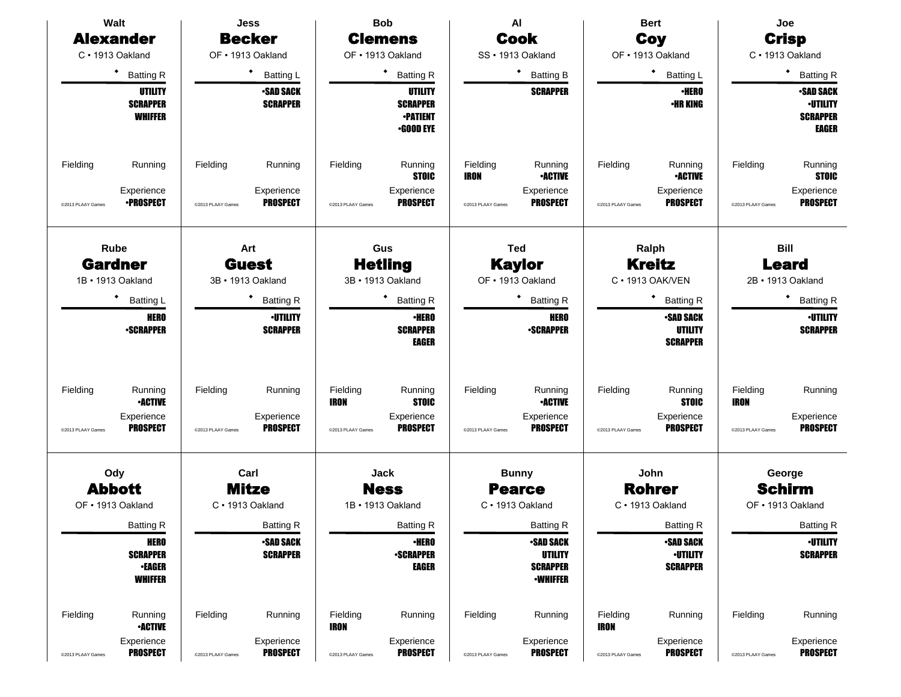| Walt                                        |                                                                   |                               | <b>Jess</b>                                            |                                       | <b>Bob</b>                                                               |                                       | AI                                                                       |                               | <b>Bert</b>                                                                    |                                       | Joe                                                             |
|---------------------------------------------|-------------------------------------------------------------------|-------------------------------|--------------------------------------------------------|---------------------------------------|--------------------------------------------------------------------------|---------------------------------------|--------------------------------------------------------------------------|-------------------------------|--------------------------------------------------------------------------------|---------------------------------------|-----------------------------------------------------------------|
| <b>Alexander</b>                            |                                                                   |                               | <b>Becker</b>                                          |                                       | <b>Clemens</b>                                                           |                                       | <b>Cook</b>                                                              |                               | Coy                                                                            |                                       | <b>Crisp</b>                                                    |
| C · 1913 Oakland                            |                                                                   |                               | OF . 1913 Oakland                                      |                                       | OF . 1913 Oakland                                                        |                                       | SS · 1913 Oakland                                                        |                               | OF · 1913 Oakland                                                              |                                       | C · 1913 Oakland                                                |
| $\bullet$                                   | <b>Batting R</b>                                                  |                               | <b>Batting L</b>                                       |                                       | ٠<br><b>Batting R</b>                                                    |                                       | <b>Batting B</b>                                                         |                               | $\bullet$<br>Batting L                                                         |                                       | <b>Batting R</b>                                                |
|                                             | UTILITY<br><b>SCRAPPER</b><br><b>WHIFFER</b>                      |                               | <b>•SAD SACK</b><br><b>SCRAPPER</b>                    |                                       | UTILITY<br><b>SCRAPPER</b><br><b>•PATIENT</b><br>$-$ GOOD EYE            |                                       | <b>SCRAPPER</b>                                                          |                               | <b>•HERO</b><br><b>•HR KING</b>                                                |                                       | <b>-SAD SACK</b><br><b>·UTILITY</b><br><b>SCRAPPER</b><br>EAGER |
| Fielding<br>@2013 PLAAY Games               | Running<br>Experience<br><b>•PROSPECT</b>                         | Fielding<br>@2013 PLAAY Games | Running<br>Experience<br><b>PROSPECT</b>               | Fielding<br>@2013 PLAAY Games         | Running<br><b>STOIC</b><br>Experience<br><b>PROSPECT</b>                 | Fielding<br>IRON<br>@2013 PLAAY Games | Running<br><b>•ACTIVE</b><br>Experience<br><b>PROSPECT</b>               | Fielding<br>@2013 PLAAY Games | Running<br><b>•ACTIVE</b><br>Experience<br><b>PROSPECT</b>                     | Fielding<br>@2013 PLAAY Games         | Running<br><b>STOIC</b><br>Experience<br><b>PROSPECT</b>        |
| Rube<br><b>Gardner</b><br>1B · 1913 Oakland |                                                                   |                               | Art<br><b>Guest</b><br>3B · 1913 Oakland               |                                       | Gus<br><b>Hetling</b><br>3B · 1913 Oakland                               |                                       | <b>Ted</b><br><b>Kaylor</b><br>OF · 1913 Oakland                         |                               | Ralph<br><b>Kreitz</b><br>C · 1913 OAK/VEN                                     |                                       | <b>Bill</b><br><b>Leard</b><br>2B · 1913 Oakland                |
| $\bullet$                                   | <b>Batting L</b><br><b>HERO</b><br><b>-SCRAPPER</b>               |                               | <b>Batting R</b><br><b>-UTILITY</b><br><b>SCRAPPER</b> |                                       | ٠<br><b>Batting R</b><br><b>•HERO</b><br><b>SCRAPPER</b><br><b>EAGER</b> |                                       | <b>Batting R</b><br><b>HERO</b><br><b>-SCRAPPER</b>                      |                               | ٠<br><b>Batting R</b><br><b>•SAD SACK</b><br><b>UTILITY</b><br><b>SCRAPPER</b> |                                       | <b>Batting R</b><br><b>-UTILITY</b><br><b>SCRAPPER</b>          |
| Fielding<br>@2013 PLAAY Games               | Running<br><b>•ACTIVE</b><br>Experience<br><b>PROSPECT</b>        | Fielding<br>@2013 PLAAY Games | Running<br>Experience<br><b>PROSPECT</b>               | Fielding<br>IRON<br>@2013 PLAAY Games | Running<br><b>STOIC</b><br>Experience<br><b>PROSPECT</b>                 | Fielding<br>@2013 PLAAY Games         | Running<br><b>•ACTIVE</b><br>Experience<br><b>PROSPECT</b>               | Fielding<br>@2013 PLAAY Games | Running<br><b>STOIC</b><br>Experience<br><b>PROSPECT</b>                       | Fielding<br>IRON<br>@2013 PLAAY Games | Running<br>Experience<br><b>PROSPECT</b>                        |
| Ody                                         |                                                                   |                               | Carl                                                   |                                       | Jack                                                                     |                                       | <b>Bunny</b>                                                             |                               | John                                                                           |                                       | George                                                          |
| <b>Abbott</b>                               |                                                                   |                               | <b>Mitze</b>                                           |                                       | <b>Ness</b>                                                              |                                       | <b>Pearce</b>                                                            |                               | <b>Rohrer</b>                                                                  |                                       | <b>Schirm</b>                                                   |
| OF . 1913 Oakland                           |                                                                   |                               | C · 1913 Oakland                                       |                                       | 1B · 1913 Oakland                                                        |                                       | C · 1913 Oakland                                                         |                               | C · 1913 Oakland                                                               |                                       | OF • 1913 Oakland                                               |
|                                             | <b>Batting R</b>                                                  |                               | <b>Batting R</b>                                       |                                       | <b>Batting R</b>                                                         |                                       | <b>Batting R</b>                                                         |                               | <b>Batting R</b>                                                               |                                       | <b>Batting R</b>                                                |
|                                             | <b>HERO</b><br><b>SCRAPPER</b><br><b>•EAGER</b><br><b>WHIFFER</b> |                               | <b>•SAD SACK</b><br><b>SCRAPPER</b>                    |                                       | <b>•HERO</b><br><b>-SCRAPPER</b><br>EAGER                                |                                       | <b>-SAD SACK</b><br><b>UTILITY</b><br><b>SCRAPPER</b><br><b>-WHIFFER</b> |                               | •SAD SACK<br><b>-UTILITY</b><br><b>SCRAPPER</b>                                |                                       | <b>·UTILITY</b><br><b>SCRAPPER</b>                              |
| Fielding                                    | Running<br><b>•ACTIVE</b>                                         | Fielding                      | Running                                                | Fielding<br>IRON                      | Running                                                                  | Fielding                              | Running                                                                  | Fielding<br>IRON              | Running                                                                        | Fielding                              | Running                                                         |
| @2013 PLAAY Games                           | Experience<br><b>PROSPECT</b>                                     | @2013 PLAAY Games             | Experience<br><b>PROSPECT</b>                          | @2013 PLAAY Games                     | Experience<br><b>PROSPECT</b>                                            | @2013 PLAAY Games                     | Experience<br><b>PROSPECT</b>                                            | @2013 PLAAY Games             | Experience<br><b>PROSPECT</b>                                                  | @2013 PLAAY Games                     | Experience<br><b>PROSPECT</b>                                   |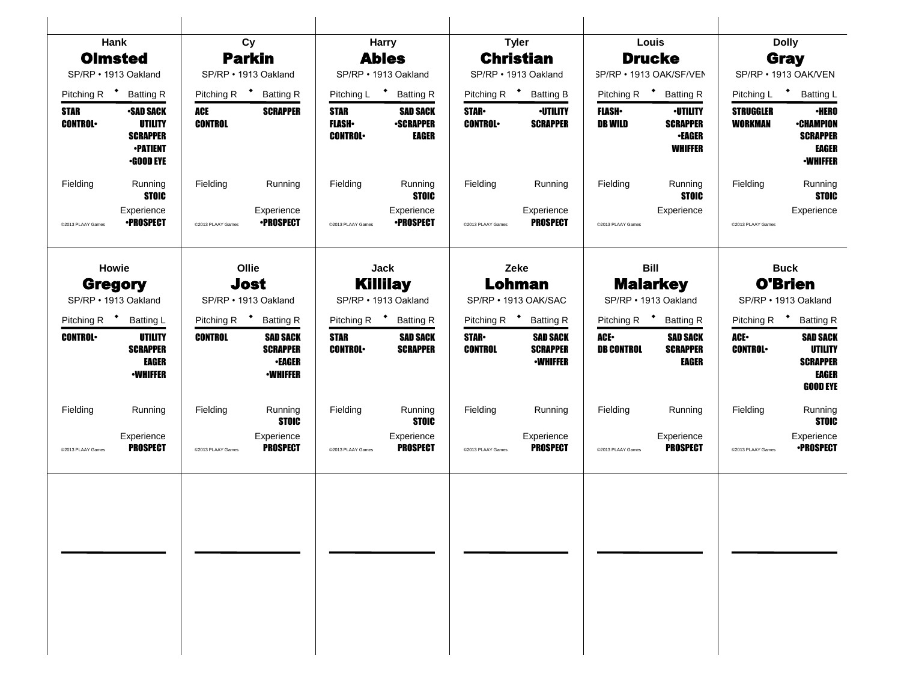|                                   | Hank                                                                                         |                         | Cy                                                                     |                                               | <b>Harry</b>                                        |                                 | <b>Tyler</b>                                          |                                  | Louis                                                                 |                                    | <b>Dolly</b>                                                                    |  |
|-----------------------------------|----------------------------------------------------------------------------------------------|-------------------------|------------------------------------------------------------------------|-----------------------------------------------|-----------------------------------------------------|---------------------------------|-------------------------------------------------------|----------------------------------|-----------------------------------------------------------------------|------------------------------------|---------------------------------------------------------------------------------|--|
| <b>Olmsted</b>                    |                                                                                              |                         | <b>Parkin</b>                                                          |                                               | <b>Ables</b>                                        |                                 | <b>Christian</b>                                      |                                  | <b>Drucke</b>                                                         |                                    | Gray                                                                            |  |
| SP/RP · 1913 Oakland              |                                                                                              |                         | SP/RP · 1913 Oakland                                                   |                                               | SP/RP · 1913 Oakland                                |                                 | SP/RP · 1913 Oakland                                  |                                  | SP/RP · 1913 OAK/SF/VEN                                               |                                    | SP/RP • 1913 OAK/VEN                                                            |  |
| Pitching R <sup>+</sup> Batting R |                                                                                              | Pitching R <sup>+</sup> | <b>Batting R</b>                                                       | Pitching L <sup>+</sup>                       | <b>Batting R</b>                                    |                                 | Pitching R <sup>+</sup> Batting B                     |                                  | Pitching R <sup>+</sup> Batting R                                     |                                    | Pitching L + Batting L                                                          |  |
| <b>STAR</b><br><b>CONTROL</b>     | <b>•SAD SACK</b><br><b>UTILITY</b><br><b>SCRAPPER</b><br><b>•PATIENT</b><br><b>•GOOD EYE</b> | ACE<br><b>CONTROL</b>   | <b>SCRAPPER</b>                                                        | <b>STAR</b><br><b>FLASH</b><br><b>CONTROL</b> | <b>SAD SACK</b><br><b>•SCRAPPER</b><br><b>EAGER</b> | <b>STAR</b> •<br><b>CONTROL</b> | <b>•UTILITY</b><br><b>SCRAPPER</b>                    | <b>FLASH</b> •<br><b>DB WILD</b> | <b>·UTILITY</b><br><b>SCRAPPER</b><br><b>•EAGER</b><br><b>WHIFFER</b> | <b>STRUGGLER</b><br><b>WORKMAN</b> | <b>•HERO</b><br><b>•CHAMPION</b><br><b>SCRAPPER</b><br>EAGER<br><b>-WHIFFER</b> |  |
| Fielding                          | Running<br><b>STOIC</b>                                                                      | Fielding                | Running                                                                | Fielding                                      | Running<br><b>STOIC</b>                             | Fielding                        | Running                                               | Fielding                         | Running<br><b>STOIC</b>                                               | Fielding                           | Running<br><b>STOIC</b>                                                         |  |
| @2013 PLAAY Games                 | Experience<br><b>•PROSPECT</b>                                                               | @2013 PLAAY Games       | Experience<br><b>•PROSPECT</b>                                         | @2013 PLAAY Games                             | Experience<br><b>•PROSPECT</b>                      | @2013 PLAAY Games               | Experience<br><b>PROSPECT</b>                         | @2013 PLAAY Games                | Experience                                                            | @2013 PLAAY Games                  | Experience                                                                      |  |
| <b>Howie</b><br><b>Gregory</b>    |                                                                                              |                         | Ollie<br>Jost                                                          |                                               | Jack<br><b>Killilay</b>                             |                                 | Zeke<br>Lohman                                        |                                  | <b>Bill</b><br><b>Malarkey</b>                                        |                                    | <b>Buck</b><br><b>O'Brien</b>                                                   |  |
| SP/RP · 1913 Oakland              |                                                                                              |                         | SP/RP · 1913 Oakland                                                   | SP/RP · 1913 Oakland                          |                                                     | SP/RP · 1913 OAK/SAC            |                                                       | SP/RP · 1913 Oakland             |                                                                       |                                    | SP/RP · 1913 Oakland                                                            |  |
| Pitching R <sup>+</sup>           | <b>Batting L</b>                                                                             | Pitching R <sup>+</sup> | <b>Batting R</b>                                                       |                                               | Pitching R <sup>+</sup> Batting R                   |                                 | Pitching R <sup>+</sup> Batting R                     |                                  | Pitching R <sup>+</sup> Batting R                                     | Pitching R $\bullet$               | <b>Batting R</b>                                                                |  |
| <b>CONTROL</b>                    | UTILITY<br><b>SCRAPPER</b><br>EAGER<br><b>-WHIFFER</b>                                       | <b>CONTROL</b>          | <b>SAD SACK</b><br><b>SCRAPPER</b><br><b>•EAGER</b><br><b>•WHIFFER</b> | <b>STAR</b><br><b>CONTROL</b>                 | <b>SAD SACK</b><br><b>SCRAPPER</b>                  | <b>STAR</b> •<br><b>CONTROL</b> | <b>SAD SACK</b><br><b>SCRAPPER</b><br><b>•WHIFFER</b> | ACE.<br><b>DB CONTROL</b>        | <b>SAD SACK</b><br><b>SCRAPPER</b><br><b>EAGER</b>                    | ACE.<br><b>CONTROL</b>             | <b>SAD SACK</b><br>UTILITY<br><b>SCRAPPER</b><br>EAGER<br><b>GOOD EYE</b>       |  |
| Fielding                          | Running                                                                                      | Fielding                | Running<br><b>STOIC</b>                                                | Fielding                                      | Running<br><b>STOIC</b>                             | Fielding                        | Running                                               | Fielding                         | Running                                                               | Fielding                           | Running<br><b>STOIC</b>                                                         |  |
| @2013 PLAAY Games                 | Experience<br><b>PROSPECT</b>                                                                | @2013 PLAAY Games       | Experience<br><b>PROSPECT</b>                                          | @2013 PLAAY Games                             | Experience<br><b>PROSPECT</b>                       | @2013 PLAAY Games               | Experience<br><b>PROSPECT</b>                         | @2013 PLAAY Games                | Experience<br><b>PROSPECT</b>                                         | @2013 PLAAY Games                  | Experience<br><b>•PROSPECT</b>                                                  |  |
|                                   |                                                                                              |                         |                                                                        |                                               |                                                     |                                 |                                                       |                                  |                                                                       |                                    |                                                                                 |  |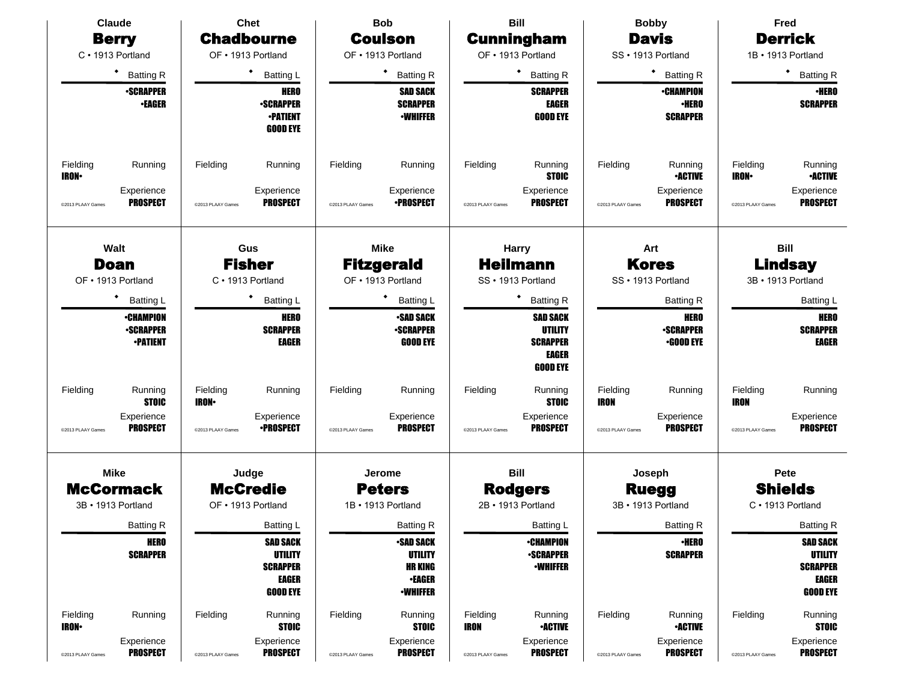|                          | <b>Claude</b>                                           |                           | <b>Chet</b>                                                                             |                   | <b>Bob</b>                                                                              |                         | <b>Bill</b>                                                                      |                         | <b>Bobby</b>                                        |                         | Fred                                                                                    |
|--------------------------|---------------------------------------------------------|---------------------------|-----------------------------------------------------------------------------------------|-------------------|-----------------------------------------------------------------------------------------|-------------------------|----------------------------------------------------------------------------------|-------------------------|-----------------------------------------------------|-------------------------|-----------------------------------------------------------------------------------------|
|                          | <b>Berry</b>                                            |                           | <b>Chadbourne</b>                                                                       |                   | <b>Coulson</b>                                                                          |                         | <b>Cunningham</b>                                                                |                         | <b>Davis</b>                                        |                         | <b>Derrick</b>                                                                          |
|                          | C · 1913 Portland                                       |                           | OF . 1913 Portland                                                                      |                   | OF . 1913 Portland                                                                      |                         | OF • 1913 Portland                                                               |                         | SS · 1913 Portland                                  |                         | 1B · 1913 Portland                                                                      |
|                          | ٠<br><b>Batting R</b>                                   |                           | $\bullet$<br><b>Batting L</b>                                                           |                   | $\bullet$<br><b>Batting R</b>                                                           |                         | <b>Batting R</b>                                                                 |                         | ٠<br><b>Batting R</b>                               |                         | ٠<br><b>Batting R</b>                                                                   |
|                          | <b>•SCRAPPER</b><br><b>•EAGER</b>                       |                           | <b>HERO</b><br><b>•SCRAPPER</b><br><b>-PATIENT</b><br><b>GOOD EYE</b>                   |                   | <b>SAD SACK</b><br><b>SCRAPPER</b><br><b>•WHIFFER</b>                                   |                         | <b>SCRAPPER</b><br><b>EAGER</b><br><b>GOOD EYE</b>                               |                         | <b>•CHAMPION</b><br><b>•HERO</b><br><b>SCRAPPER</b> |                         | <b>•HERO</b><br><b>SCRAPPER</b>                                                         |
| Fielding<br><b>IRON</b>  | Running                                                 | Fielding                  | Running                                                                                 | Fielding          | Running                                                                                 | Fielding                | Running<br><b>STOIC</b>                                                          | Fielding                | Running<br><b>•ACTIVE</b>                           | Fielding<br><b>IRON</b> | Running<br><b>-ACTIVE</b>                                                               |
| @2013 PLAAY Games        | Experience<br><b>PROSPECT</b>                           | @2013 PLAAY Games         | Experience<br><b>PROSPECT</b>                                                           | @2013 PLAAY Games | Experience<br><b>•PROSPECT</b>                                                          | @2013 PLAAY Games       | Experience<br><b>PROSPECT</b>                                                    | @2013 PLAAY Games       | Experience<br><b>PROSPECT</b>                       | @2013 PLAAY Games       | Experience<br><b>PROSPECT</b>                                                           |
|                          | Walt                                                    |                           | Gus                                                                                     |                   | <b>Mike</b>                                                                             |                         | <b>Harry</b>                                                                     |                         | Art                                                 |                         | <b>Bill</b>                                                                             |
|                          | <b>Doan</b><br>OF . 1913 Portland                       |                           | <b>Fisher</b><br>C · 1913 Portland                                                      |                   | <b>Fitzgerald</b><br>OF • 1913 Portland                                                 |                         | <b>Heilmann</b><br>SS · 1913 Portland                                            |                         | <b>Kores</b><br>SS · 1913 Portland                  |                         | <b>Lindsay</b><br>3B · 1913 Portland                                                    |
|                          | <b>Batting L</b>                                        |                           | ٠<br><b>Batting L</b>                                                                   |                   | Batting L                                                                               | <b>Batting R</b>        |                                                                                  |                         | <b>Batting R</b>                                    |                         | <b>Batting L</b>                                                                        |
|                          | <b>•CHAMPION</b><br><b>-SCRAPPER</b><br><b>-PATIENT</b> |                           | <b>HERO</b><br><b>SCRAPPER</b><br><b>EAGER</b>                                          |                   | <b>-SAD SACK</b><br><b>-SCRAPPER</b><br><b>GOOD EYE</b>                                 |                         | <b>SAD SACK</b><br><b>UTILITY</b><br><b>SCRAPPER</b><br>EAGER<br><b>GOOD EYE</b> |                         | HERO<br><b>-SCRAPPER</b><br><b>•GOOD EYE</b>        |                         | <b>HERO</b><br><b>SCRAPPER</b><br><b>EAGER</b>                                          |
| Fielding                 | Running<br><b>STOIC</b>                                 | Fielding<br><b>IRON</b> • | Running                                                                                 | Fielding          | Running                                                                                 | Fielding                | Running<br><b>STOIC</b>                                                          | Fielding<br><b>IRON</b> | Running                                             | Fielding<br><b>IRON</b> | Running                                                                                 |
| @2013 PLAAY Games        | Experience<br><b>PROSPECT</b>                           | @2013 PLAAY Games         | Experience<br><b>•PROSPECT</b>                                                          | @2013 PLAAY Games | Experience<br><b>PROSPECT</b>                                                           | @2013 PLAAY Games       | Experience<br><b>PROSPECT</b>                                                    | @2013 PLAAY Games       | Experience<br><b>PROSPECT</b>                       | @2013 PLAAY Games       | Experience<br><b>PROSPECT</b>                                                           |
|                          | <b>Mike</b>                                             |                           | Judge                                                                                   |                   | Jerome                                                                                  |                         | <b>Bill</b>                                                                      |                         | Joseph                                              |                         | Pete                                                                                    |
|                          | <b>McCormack</b>                                        |                           | <b>McCredie</b>                                                                         |                   | <b>Peters</b>                                                                           |                         | <b>Rodgers</b>                                                                   |                         | <b>Ruegg</b>                                        |                         | <b>Shields</b>                                                                          |
|                          | 3B • 1913 Portland                                      |                           | OF • 1913 Portland                                                                      |                   | 1B · 1913 Portland                                                                      |                         | 2B · 1913 Portland                                                               |                         | 3B • 1913 Portland                                  |                         | C · 1913 Portland                                                                       |
|                          | <b>Batting R</b>                                        |                           | <b>Batting L</b>                                                                        |                   | <b>Batting R</b>                                                                        |                         | Batting L                                                                        |                         | <b>Batting R</b>                                    |                         | <b>Batting R</b>                                                                        |
|                          | <b>HERO</b><br><b>SCRAPPER</b>                          |                           | <b>SAD SACK</b><br><b>UTILITY</b><br><b>SCRAPPER</b><br><b>EAGER</b><br><b>GOOD EYE</b> |                   | <b>SAD SACK</b><br><b>UTILITY</b><br><b>HR KING</b><br><b>•EAGER</b><br><b>-WHIFFER</b> |                         | <b>•CHAMPION</b><br><b>-SCRAPPER</b><br><b>•WHIFFER</b>                          |                         | <b>•HERO</b><br><b>SCRAPPER</b>                     |                         | <b>SAD SACK</b><br><b>UTILITY</b><br><b>SCRAPPER</b><br><b>EAGER</b><br><b>GOOD EYE</b> |
| Fielding<br><b>IRON-</b> | Running                                                 | Fielding                  | Running<br><b>STOIC</b>                                                                 | Fielding          | Running<br><b>STOIC</b>                                                                 | Fielding<br><b>IRON</b> | Running<br><b>•ACTIVE</b>                                                        | Fielding                | Running<br><b>•ACTIVE</b>                           | Fielding                | Running<br><b>STOIC</b>                                                                 |
| @2013 PLAAY Games        | Experience<br><b>PROSPECT</b>                           | @2013 PLAAY Games         | Experience<br><b>PROSPECT</b>                                                           | @2013 PLAAY Games | Experience<br><b>PROSPECT</b>                                                           | @2013 PLAAY Games       | Experience<br><b>PROSPECT</b>                                                    | @2013 PLAAY Games       | Experience<br><b>PROSPECT</b>                       | @2013 PLAAY Games       | Experience<br><b>PROSPECT</b>                                                           |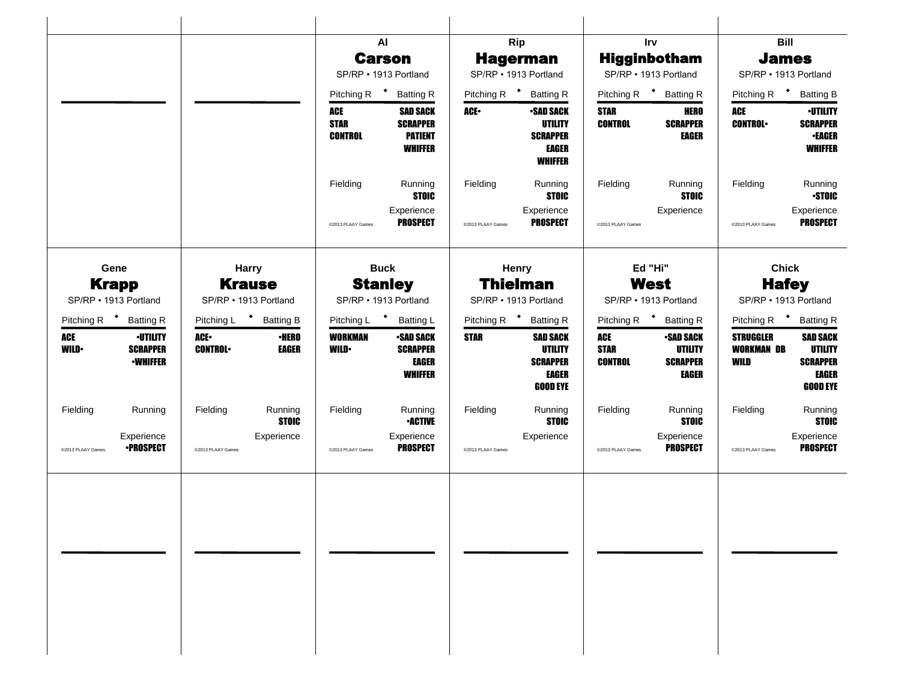|                                                                                    |                        |                                        |                                         | AI                                                                     |                                          | <b>Rip</b>                                                                              |                                      | <b>Irv</b>                                                     |                                               | <b>Bill</b>                                                                      |
|------------------------------------------------------------------------------------|------------------------|----------------------------------------|-----------------------------------------|------------------------------------------------------------------------|------------------------------------------|-----------------------------------------------------------------------------------------|--------------------------------------|----------------------------------------------------------------|-----------------------------------------------|----------------------------------------------------------------------------------|
|                                                                                    |                        |                                        |                                         | <b>Carson</b>                                                          |                                          | <b>Hagerman</b>                                                                         |                                      | <b>Higginbotham</b>                                            | <b>James</b>                                  |                                                                                  |
|                                                                                    |                        |                                        |                                         | SP/RP · 1913 Portland                                                  |                                          | SP/RP . 1913 Portland                                                                   |                                      | SP/RP · 1913 Portland                                          | SP/RP · 1913 Portland                         |                                                                                  |
|                                                                                    |                        |                                        | Pitching R <sup>+</sup>                 | <b>Batting R</b>                                                       |                                          | Pitching R <sup>+</sup> Batting R                                                       |                                      | Pitching R <sup>+</sup> Batting R                              | Pitching R <sup>+</sup>                       | <b>Batting B</b>                                                                 |
|                                                                                    |                        |                                        | ACE<br><b>STAR</b><br><b>CONTROL</b>    | <b>SAD SACK</b><br><b>SCRAPPER</b><br><b>PATIENT</b><br><b>WHIFFER</b> | ACE•                                     | <b>•SAD SACK</b><br><b>UTILITY</b><br><b>SCRAPPER</b><br><b>EAGER</b><br><b>WHIFFER</b> | <b>STAR</b><br><b>CONTROL</b>        | <b>HERO</b><br><b>SCRAPPER</b><br><b>EAGER</b>                 | <b>ACE</b><br><b>CONTROL</b>                  | <b>-UTILITY</b><br><b>SCRAPPER</b><br><b>•EAGER</b><br><b>WHIFFER</b>            |
|                                                                                    |                        |                                        | Fielding                                | Running<br><b>STOIC</b>                                                | Fielding                                 | Running<br><b>STOIC</b>                                                                 | Fielding                             | Running<br><b>STOIC</b>                                        | Fielding                                      | Running<br><b>STOIC</b>                                                          |
|                                                                                    |                        |                                        | @2013 PLAAY Games                       | Experience<br><b>PROSPECT</b>                                          | @2013 PLAAY Games                        | Experience<br><b>PROSPECT</b>                                                           | @2013 PLAAY Games                    | Experience                                                     | @2013 PLAAY Games                             | Experience<br><b>PROSPECT</b>                                                    |
| Gene                                                                               |                        | <b>Harry</b>                           |                                         | <b>Buck</b>                                                            |                                          | <b>Henry</b>                                                                            |                                      | Ed "Hi"                                                        | <b>Chick</b>                                  |                                                                                  |
| <b>Krapp</b><br>SP/RP • 1913 Portland                                              |                        | <b>Krause</b><br>SP/RP • 1913 Portland | <b>Stanley</b><br>SP/RP · 1913 Portland |                                                                        | <b>Thielman</b><br>SP/RP · 1913 Portland |                                                                                         | <b>West</b><br>SP/RP · 1913 Portland |                                                                | <b>Hafey</b><br>SP/RP · 1913 Portland         |                                                                                  |
| Pitching R <sup>+</sup> Batting R                                                  |                        | Pitching L <sup>+</sup> Batting B      |                                         | Pitching L * Batting L                                                 |                                          | Pitching R <sup>+</sup> Batting R                                                       |                                      | Pitching R <sup>+</sup> Batting R                              | Pitching R <b>*</b> Batting R                 |                                                                                  |
| <b>ACE</b><br><b>•UTILITY</b><br><b>WILD</b><br><b>SCRAPPER</b><br><b>-WHIFFER</b> | ACE-<br><b>CONTROL</b> | <b>•HERO</b><br>EAGER                  | <b>WORKMAN</b><br><b>WILD</b>           | <b>-SAD SACK</b><br><b>SCRAPPER</b><br><b>EAGER</b><br><b>WHIFFER</b>  | <b>STAR</b>                              | <b>SAD SACK</b><br><b>UTILITY</b><br><b>SCRAPPER</b><br><b>EAGER</b><br><b>GOOD EYE</b> | ACE<br><b>STAR</b><br><b>CONTROL</b> | <b>•SAD SACK</b><br>UTILITY<br><b>SCRAPPER</b><br><b>EAGER</b> | <b>STRUGGLER</b><br><b>WORKMAN DB</b><br>WILD | <b>SAD SACK</b><br>UTILITY<br><b>SCRAPPER</b><br><b>EAGER</b><br><b>GOOD EYE</b> |
| Fielding<br>Running                                                                | Fielding               | Running<br><b>STOIC</b>                | Fielding                                | Running<br><b>•ACTIVE</b>                                              | Fielding                                 | Running<br><b>STOIC</b>                                                                 | Fielding                             | Running<br><b>STOIC</b>                                        | Fielding                                      | Running<br><b>STOIC</b>                                                          |
| Experience<br><b>•PROSPECT</b><br>@2013 PLAAY Games                                | @2013 PLAAY Games      | Experience                             | @2013 PLAAY Games                       | Experience<br><b>PROSPECT</b>                                          | @2013 PLAAY Games                        | Experience                                                                              | @2013 PLAAY Games                    | Experience<br><b>PROSPECT</b>                                  | @2013 PLAAY Games                             | Experience<br><b>PROSPECT</b>                                                    |
|                                                                                    |                        |                                        |                                         |                                                                        |                                          |                                                                                         |                                      |                                                                |                                               |                                                                                  |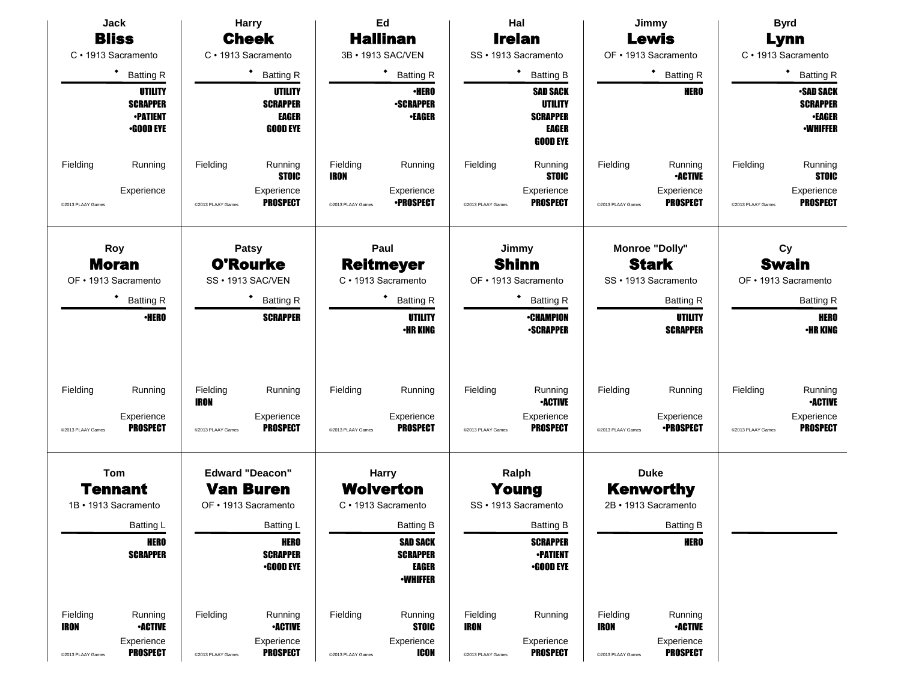| Jack                                   |                                                                   |                                              | <b>Harry</b>                                                  |                               | Ed                                                |                               | Hal                                                                              |                               | Jimmy                                     |                               | <b>Byrd</b>                                                             |
|----------------------------------------|-------------------------------------------------------------------|----------------------------------------------|---------------------------------------------------------------|-------------------------------|---------------------------------------------------|-------------------------------|----------------------------------------------------------------------------------|-------------------------------|-------------------------------------------|-------------------------------|-------------------------------------------------------------------------|
| <b>Bliss</b>                           |                                                                   |                                              | <b>Cheek</b>                                                  |                               | <b>Hallinan</b>                                   |                               | <b>Irelan</b>                                                                    |                               | <b>Lewis</b>                              |                               | Lynn                                                                    |
| C · 1913 Sacramento                    |                                                                   |                                              | C · 1913 Sacramento                                           |                               | 3B · 1913 SAC/VEN                                 |                               | SS · 1913 Sacramento                                                             |                               | OF • 1913 Sacramento                      |                               | C · 1913 Sacramento                                                     |
| $\bullet$                              | <b>Batting R</b>                                                  |                                              | $\bullet$<br><b>Batting R</b>                                 |                               | ٠<br><b>Batting R</b>                             |                               | ٠<br><b>Batting B</b>                                                            |                               | * Batting R                               |                               | <b>Batting R</b>                                                        |
|                                        | UTILITY<br><b>SCRAPPER</b><br><b>•PATIENT</b><br><b>•GOOD EYE</b> |                                              | UTILITY<br><b>SCRAPPER</b><br><b>EAGER</b><br><b>GOOD EYE</b> |                               | <b>•HERO</b><br><b>-SCRAPPER</b><br><b>-EAGER</b> |                               | <b>SAD SACK</b><br><b>UTILITY</b><br><b>SCRAPPER</b><br>EAGER<br><b>GOOD EYE</b> |                               | <b>HERO</b>                               |                               | <b>•SAD SACK</b><br><b>SCRAPPER</b><br><b>•EAGER</b><br><b>-WHIFFER</b> |
| Fielding                               | Running                                                           | Fielding                                     | Running<br><b>STOIC</b>                                       | Fielding<br><b>IRON</b>       | Running                                           | Fielding                      | Running<br><b>STOIC</b>                                                          | Fielding                      | Running<br><b>•ACTIVE</b>                 | Fielding                      | Running<br><b>STOIC</b>                                                 |
| @2013 PLAAY Games                      | Experience                                                        | @2013 PLAAY Games                            | Experience<br><b>PROSPECT</b>                                 | @2013 PLAAY Games             | Experience<br><b>•PROSPECT</b>                    | @2013 PLAAY Games             | Experience<br><b>PROSPECT</b>                                                    | @2013 PLAAY Games             | Experience<br><b>PROSPECT</b>             | @2013 PLAAY Games             | Experience<br><b>PROSPECT</b>                                           |
| Roy<br><b>Moran</b>                    |                                                                   |                                              | <b>Patsy</b><br><b>O'Rourke</b>                               |                               | Paul<br><b>Reitmeyer</b>                          |                               | Jimmy<br><b>Shinn</b>                                                            |                               | <b>Monroe "Dolly"</b><br><b>Stark</b>     |                               | Cy<br><b>Swain</b>                                                      |
| OF · 1913 Sacramento                   | SS · 1913 SAC/VEN                                                 |                                              | C · 1913 Sacramento                                           |                               | OF • 1913 Sacramento                              |                               | SS · 1913 Sacramento                                                             |                               | OF • 1913 Sacramento                      |                               |                                                                         |
| ٠                                      | <b>Batting R</b><br><b>Batting R</b>                              |                                              | ٠<br><b>Batting R</b>                                         |                               |                                                   | <b>Batting R</b>              |                                                                                  | <b>Batting R</b>              |                                           | <b>Batting R</b>              |                                                                         |
|                                        | <b>•HERO</b>                                                      |                                              | <b>SCRAPPER</b>                                               |                               | UTILITY<br><b>•HR KING</b>                        |                               | <b>•CHAMPION</b><br><b>•SCRAPPER</b>                                             |                               | UTILITY<br><b>SCRAPPER</b>                |                               | <b>HERO</b><br><b>·HR KING</b>                                          |
| Fielding<br>@2013 PLAAY Games          | Running<br>Experience<br><b>PROSPECT</b>                          | Fielding<br><b>IRON</b><br>@2013 PLAAY Games | Running<br>Experience<br><b>PROSPECT</b>                      | Fielding<br>@2013 PLAAY Games | Running<br>Experience<br><b>PROSPECT</b>          | Fielding<br>@2013 PLAAY Games | Running<br><b>•ACTIVE</b><br>Experience<br><b>PROSPECT</b>                       | Fielding<br>@2013 PLAAY Games | Running<br>Experience<br><b>•PROSPECT</b> | Fielding<br>@2013 PLAAY Games | Running<br><b>•ACTIVE</b><br>Experience<br><b>PROSPECT</b>              |
|                                        |                                                                   |                                              |                                                               |                               |                                                   |                               |                                                                                  |                               |                                           |                               |                                                                         |
| Tom                                    |                                                                   |                                              | <b>Edward "Deacon"</b>                                        |                               | <b>Harry</b>                                      |                               | Ralph                                                                            |                               | <b>Duke</b>                               |                               |                                                                         |
| <b>Tennant</b><br>1B · 1913 Sacramento |                                                                   |                                              | <b>Van Buren</b><br>OF • 1913 Sacramento                      |                               | <b>Wolverton</b><br>C · 1913 Sacramento           |                               | Young<br>SS · 1913 Sacramento                                                    |                               | <b>Kenworthy</b><br>2B · 1913 Sacramento  |                               |                                                                         |
|                                        |                                                                   |                                              |                                                               |                               |                                                   |                               |                                                                                  |                               |                                           |                               |                                                                         |
|                                        | Batting L<br><b>HERO</b>                                          |                                              | Batting L<br><b>HERO</b>                                      |                               | <b>Batting B</b><br>SAD SACK                      |                               | <b>Batting B</b><br><b>SCRAPPER</b>                                              |                               | <b>Batting B</b><br>HERO                  |                               |                                                                         |
|                                        | <b>SCRAPPER</b>                                                   |                                              | <b>SCRAPPER</b><br><b>•GOOD EYE</b>                           |                               | <b>SCRAPPER</b><br>EAGER<br><b>-WHIFFER</b>       |                               | <b>•PATIENT</b><br>$\cdot$ GOOD EYE                                              |                               |                                           |                               |                                                                         |
| Fielding<br><b>IRON</b>                | Running<br><b>•ACTIVE</b>                                         | Fielding                                     | Running<br><b>•ACTIVE</b>                                     | Fielding                      | Running<br><b>STOIC</b>                           | Fielding<br><b>IRON</b>       | Running                                                                          | Fielding<br><b>IRON</b>       | Running<br><b>-ACTIVE</b>                 |                               |                                                                         |
| @2013 PLAAY Games                      | Experience<br><b>PROSPECT</b>                                     | @2013 PLAAY Games                            | Experience<br><b>PROSPECT</b>                                 | @2013 PLAAY Games             | Experience<br><b>ICON</b>                         | @2013 PLAAY Games             | Experience<br><b>PROSPECT</b>                                                    | @2013 PLAAY Games             | Experience<br><b>PROSPECT</b>             |                               |                                                                         |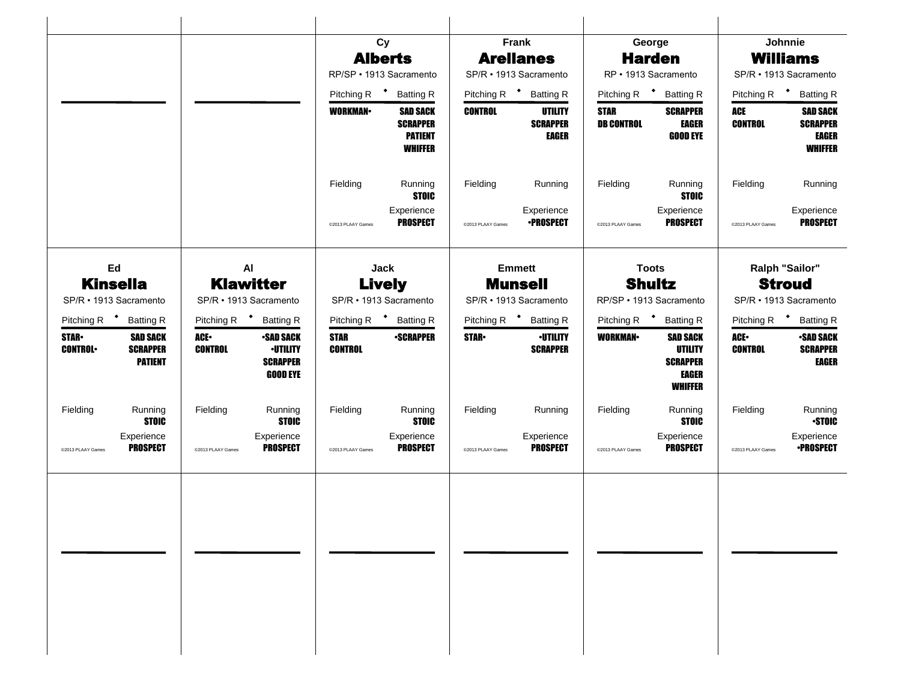|                                                                                        |                                                                                                     | Cy                                                                                       | Frank                                                        | George                                                                                            | Johnnie                                                                                |
|----------------------------------------------------------------------------------------|-----------------------------------------------------------------------------------------------------|------------------------------------------------------------------------------------------|--------------------------------------------------------------|---------------------------------------------------------------------------------------------------|----------------------------------------------------------------------------------------|
|                                                                                        |                                                                                                     | <b>Alberts</b>                                                                           | <b>Arellanes</b>                                             | <b>Harden</b>                                                                                     | <b>Williams</b>                                                                        |
|                                                                                        |                                                                                                     | RP/SP · 1913 Sacramento                                                                  | SP/R · 1913 Sacramento                                       | RP · 1913 Sacramento                                                                              | SP/R · 1913 Sacramento                                                                 |
|                                                                                        |                                                                                                     | $\ddot{\phantom{1}}$<br>Pitching R<br><b>Batting R</b>                                   | Pitching R <sup>+</sup> Batting R                            | Pitching R <sup>+</sup> Batting R                                                                 | Pitching R <sup>+</sup><br><b>Batting R</b>                                            |
|                                                                                        |                                                                                                     | <b>WORKMAN</b><br><b>SAD SACK</b><br><b>SCRAPPER</b><br><b>PATIENT</b><br><b>WHIFFER</b> | <b>CONTROL</b><br>UTILITY<br><b>SCRAPPER</b><br><b>EAGER</b> | <b>STAR</b><br><b>SCRAPPER</b><br><b>DB CONTROL</b><br><b>EAGER</b><br><b>GOOD EYE</b>            | ACE<br><b>SAD SACK</b><br><b>CONTROL</b><br><b>SCRAPPER</b><br>EAGER<br><b>WHIFFER</b> |
|                                                                                        |                                                                                                     | Fielding<br>Running<br><b>STOIC</b>                                                      | Fielding<br>Running                                          | Fielding<br>Running<br><b>STOIC</b>                                                               | Fielding<br>Running                                                                    |
|                                                                                        |                                                                                                     | Experience<br><b>PROSPECT</b><br>@2013 PLAAY Games                                       | Experience<br><b>•PROSPECT</b><br>@2013 PLAAY Games          | Experience<br><b>PROSPECT</b><br>@2013 PLAAY Games                                                | Experience<br><b>PROSPECT</b><br>@2013 PLAAY Games                                     |
| Ed<br><b>Kinsella</b>                                                                  | AI<br><b>Klawitter</b>                                                                              | <b>Jack</b><br><b>Lively</b>                                                             | <b>Emmett</b><br><b>Munsell</b>                              | <b>Toots</b><br><b>Shultz</b>                                                                     | Ralph "Sailor"<br><b>Stroud</b>                                                        |
| SP/R · 1913 Sacramento                                                                 | SP/R · 1913 Sacramento                                                                              | SP/R · 1913 Sacramento                                                                   | SP/R · 1913 Sacramento                                       | RP/SP · 1913 Sacramento                                                                           | SP/R · 1913 Sacramento                                                                 |
| Pitching R <sup>+</sup><br><b>Batting R</b>                                            | Pitching R $\bullet$<br><b>Batting R</b>                                                            | Pitching R <sup>+</sup> Batting R                                                        | Pitching R <sup>+</sup> Batting R                            | Pitching R <sup>+</sup><br><b>Batting R</b>                                                       | Pitching R $\bullet$<br><b>Batting R</b>                                               |
| <b>STAR-</b><br><b>SAD SACK</b><br><b>SCRAPPER</b><br><b>CONTROL</b><br><b>PATIENT</b> | ACE.<br><b>•SAD SACK</b><br><b>CONTROL</b><br><b>-UTILITY</b><br><b>SCRAPPER</b><br><b>GOOD EYE</b> | <b>STAR</b><br><b>-SCRAPPER</b><br><b>CONTROL</b>                                        | <b>STAR</b><br><b>•UTILITY</b><br><b>SCRAPPER</b>            | <b>WORKMAN</b><br><b>SAD SACK</b><br><b>UTILITY</b><br><b>SCRAPPER</b><br>EAGER<br><b>WHIFFER</b> | ACE.<br><b>•SAD SACK</b><br><b>CONTROL</b><br><b>SCRAPPER</b><br>EAGER                 |
| Fielding<br>Running<br><b>STOIC</b>                                                    | Fielding<br>Running<br><b>STOIC</b>                                                                 | Fielding<br>Running<br><b>STOIC</b>                                                      | Fielding<br>Running                                          | Fielding<br>Running<br><b>STOIC</b>                                                               | Fielding<br>Running<br><b>STOIC</b>                                                    |
| Experience<br><b>PROSPECT</b><br>@2013 PLAAY Games                                     | Experience<br><b>PROSPECT</b><br>@2013 PLAAY Games                                                  | Experience<br><b>PROSPECT</b><br>@2013 PLAAY Games                                       | Experience<br><b>PROSPECT</b><br>@2013 PLAAY Games           | Experience<br><b>PROSPECT</b><br>@2013 PLAAY Games                                                | Experience<br><b>•PROSPECT</b><br>@2013 PLAAY Games                                    |
|                                                                                        |                                                                                                     |                                                                                          |                                                              |                                                                                                   |                                                                                        |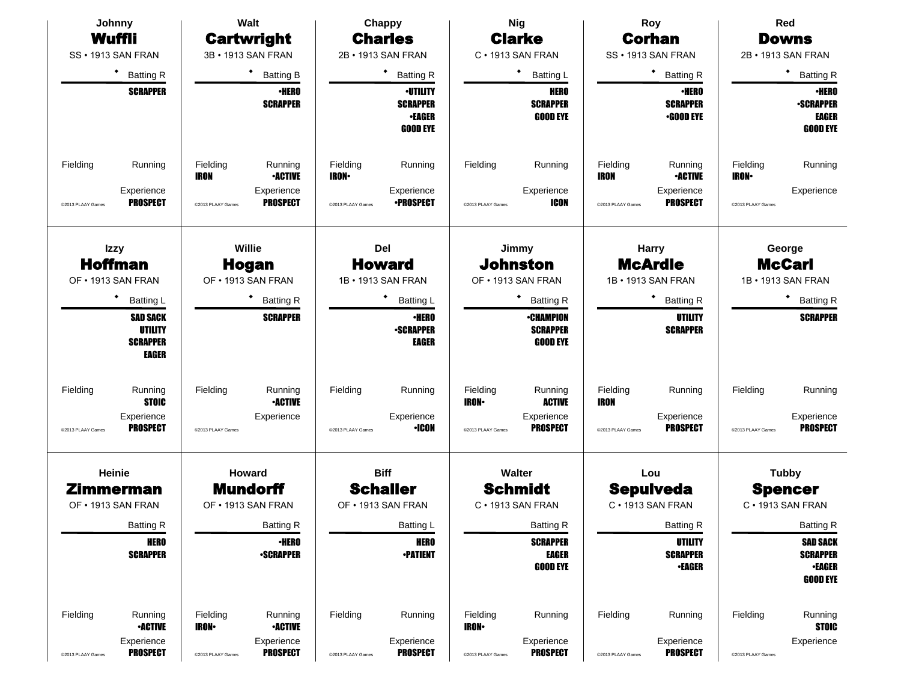| Johnny                                                                                      | Walt                                                                                                        | Chappy                                                                                     | <b>Nig</b>                                                                                                | Roy                                                                                                 | Red                                                                                        |
|---------------------------------------------------------------------------------------------|-------------------------------------------------------------------------------------------------------------|--------------------------------------------------------------------------------------------|-----------------------------------------------------------------------------------------------------------|-----------------------------------------------------------------------------------------------------|--------------------------------------------------------------------------------------------|
| Wuffli                                                                                      | <b>Cartwright</b>                                                                                           | <b>Charles</b>                                                                             | <b>Clarke</b>                                                                                             | <b>Corhan</b>                                                                                       | <b>Downs</b>                                                                               |
| SS · 1913 SAN FRAN                                                                          | 3B · 1913 SAN FRAN                                                                                          | 2B · 1913 SAN FRAN                                                                         | C · 1913 SAN FRAN                                                                                         | SS · 1913 SAN FRAN                                                                                  | 2B · 1913 SAN FRAN                                                                         |
| ٠<br><b>Batting R</b>                                                                       | <b>Batting B</b>                                                                                            | ٠<br><b>Batting R</b>                                                                      | ٠<br><b>Batting L</b>                                                                                     | * Batting R                                                                                         | <b>Batting R</b>                                                                           |
| <b>SCRAPPER</b>                                                                             | <b>·HERO</b><br><b>SCRAPPER</b>                                                                             | <b>·UTILITY</b><br><b>SCRAPPER</b><br>•EAGER<br><b>GOOD EYE</b>                            | <b>HERO</b><br><b>SCRAPPER</b><br><b>GOOD EYE</b>                                                         | <b>•HERO</b><br><b>SCRAPPER</b><br>$-$ GOOD EYE                                                     | <b>•HERO</b><br><b>-SCRAPPER</b><br>EAGER<br><b>GOOD EYE</b>                               |
| Fielding<br>Running<br>Experience<br><b>PROSPECT</b><br>@2013 PLAAY Games                   | Fielding<br>Running<br><b>IRON</b><br><b>•ACTIVE</b><br>Experience<br><b>PROSPECT</b><br>@2013 PLAAY Games  | Fielding<br>Running<br><b>IRON-</b><br>Experience<br><b>•PROSPECT</b><br>@2013 PLAAY Games | Fielding<br>Running<br>Experience<br><b>ICON</b><br>@2013 PLAAY Games                                     | Fielding<br>Running<br><b>•ACTIVE</b><br>IRON<br>Experience<br><b>PROSPECT</b><br>@2013 PLAAY Games | Fielding<br>Running<br><b>IRON</b> •<br>Experience<br>@2013 PLAAY Games                    |
| <b>Izzy</b><br><b>Hoffman</b><br>OF . 1913 SAN FRAN                                         | Willie<br><b>Hogan</b><br>OF . 1913 SAN FRAN                                                                |                                                                                            | Jimmy<br><b>Johnston</b><br>OF • 1913 SAN FRAN                                                            | <b>Harry</b><br><b>McArdle</b><br>1B • 1913 SAN FRAN                                                | George<br><b>McCarl</b><br>1B · 1913 SAN FRAN                                              |
| ٠<br><b>Batting L</b><br><b>SAD SACK</b><br>UTILITY<br><b>SCRAPPER</b><br>EAGER             | <b>Batting R</b><br><b>SCRAPPER</b>                                                                         | <b>Batting L</b><br><b>·HERO</b><br><b>-SCRAPPER</b><br>EAGER                              | <b>Batting R</b><br><b>•CHAMPION</b><br><b>SCRAPPER</b><br><b>GOOD EYE</b>                                | $\bullet$ Batting R<br><b>UTILITY</b><br><b>SCRAPPER</b>                                            | <b>Batting R</b><br><b>SCRAPPER</b>                                                        |
| Fielding<br>Running<br><b>STOIC</b><br>Experience<br><b>PROSPECT</b><br>@2013 PLAAY Games   | Fielding<br>Running<br><b>-ACTIVE</b><br>Experience<br>@2013 PLAAY Games                                    | Fielding<br>Running<br>Experience<br><b>·ICON</b><br>@2013 PLAAY Games                     | Fielding<br>Running<br><b>IRON</b><br><b>ACTIVE</b><br>Experience<br><b>PROSPECT</b><br>@2013 PLAAY Games | Fielding<br>Running<br>IRON<br>Experience<br><b>PROSPECT</b><br>@2013 PLAAY Games                   | Fielding<br>Running<br>Experience<br><b>PROSPECT</b><br>@2013 PLAAY Games                  |
| Heinie<br>Zimmerman<br>OF • 1913 SAN FRAN                                                   | Howard<br><b>Mundorff</b><br>OF . 1913 SAN FRAN                                                             | <b>Biff</b><br><b>Schaller</b><br>OF . 1913 SAN FRAN                                       | Walter<br><b>Schmidt</b><br>C · 1913 SAN FRAN                                                             | Lou<br><b>Sepulveda</b><br>C · 1913 SAN FRAN                                                        | <b>Tubby</b><br><b>Spencer</b><br>C · 1913 SAN FRAN                                        |
| <b>Batting R</b><br><b>HERO</b><br><b>SCRAPPER</b>                                          | <b>Batting R</b><br><b>•HERO</b><br><b>-SCRAPPER</b>                                                        | Batting L<br><b>HERO</b><br><b>-PATIENT</b>                                                | <b>Batting R</b><br><b>SCRAPPER</b><br><b>EAGER</b><br><b>GOOD EYE</b>                                    | <b>Batting R</b><br>UTILITY<br><b>SCRAPPER</b><br><b>•EAGER</b>                                     | <b>Batting R</b><br><b>SAD SACK</b><br><b>SCRAPPER</b><br><b>•EAGER</b><br><b>GOOD EYE</b> |
| Fielding<br>Running<br><b>•ACTIVE</b><br>Experience<br><b>PROSPECT</b><br>@2013 PLAAY Games | Fielding<br>Running<br><b>IRON-</b><br><b>•ACTIVE</b><br>Experience<br><b>PROSPECT</b><br>@2013 PLAAY Games | Fielding<br>Running<br>Experience<br><b>PROSPECT</b><br>@2013 PLAAY Games                  | Fielding<br>Running<br><b>IRON</b><br>Experience<br><b>PROSPECT</b><br>@2013 PLAAY Games                  | Fielding<br>Running<br>Experience<br><b>PROSPECT</b><br>@2013 PLAAY Games                           | Fielding<br>Running<br><b>STOIC</b><br>Experience<br>@2013 PLAAY Games                     |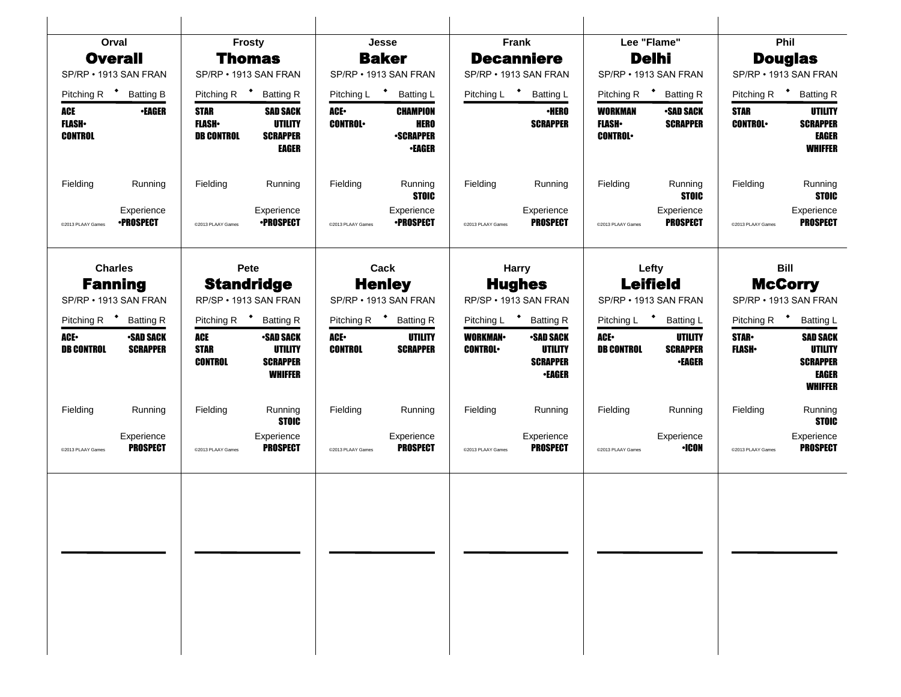|                                       | Orval                               |                                                    | <b>Frosty</b>                                                           |                         | Jesse                                                               |                                  | Frank                                                           |                                                    | Lee "Flame"                                 |                               | Phil                                                                     |  |
|---------------------------------------|-------------------------------------|----------------------------------------------------|-------------------------------------------------------------------------|-------------------------|---------------------------------------------------------------------|----------------------------------|-----------------------------------------------------------------|----------------------------------------------------|---------------------------------------------|-------------------------------|--------------------------------------------------------------------------|--|
|                                       | <b>Overall</b>                      |                                                    | <b>Thomas</b>                                                           |                         | <b>Baker</b>                                                        |                                  | <b>Decanniere</b>                                               |                                                    | <b>Delhi</b>                                |                               | <b>Douglas</b>                                                           |  |
|                                       | SP/RP • 1913 SAN FRAN               |                                                    | SP/RP . 1913 SAN FRAN                                                   |                         | SP/RP • 1913 SAN FRAN                                               |                                  | SP/RP • 1913 SAN FRAN                                           |                                                    | SP/RP . 1913 SAN FRAN                       |                               | SP/RP . 1913 SAN FRAN                                                    |  |
|                                       | Pitching R <sup>+</sup> Batting B   | Pitching R $\bullet$                               | <b>Batting R</b>                                                        | Pitching L <sup>+</sup> | <b>Batting L</b>                                                    | Pitching L <sup>+</sup>          | <b>Batting L</b>                                                | Pitching R $\bullet$                               | <b>Batting R</b>                            |                               | Pitching R <sup>+</sup> Batting R                                        |  |
| ACE<br><b>FLASH</b><br><b>CONTROL</b> | <b>•EAGER</b>                       | <b>STAR</b><br><b>FLASH</b> •<br><b>DB CONTROL</b> | <b>SAD SACK</b><br><b>UTILITY</b><br><b>SCRAPPER</b><br><b>EAGER</b>    | ACE.<br><b>CONTROL</b>  | <b>CHAMPION</b><br><b>HERO</b><br><b>-SCRAPPER</b><br><b>•EAGER</b> |                                  | <b>·HERO</b><br><b>SCRAPPER</b>                                 | <b>WORKMAN</b><br><b>FLASH</b> •<br><b>CONTROL</b> | <b>-SAD SACK</b><br><b>SCRAPPER</b>         | <b>STAR</b><br><b>CONTROL</b> | UTILITY<br><b>SCRAPPER</b><br><b>EAGER</b><br><b>WHIFFER</b>             |  |
| Fielding                              | Running                             | Fielding                                           | Running                                                                 | Fielding                | Running<br><b>STOIC</b>                                             | Fielding                         | Running                                                         | Fielding                                           | Running<br><b>STOIC</b>                     | Fielding                      | Running<br><b>STOIC</b>                                                  |  |
| @2013 PLAAY Games                     | Experience<br><b>•PROSPECT</b>      | @2013 PLAAY Games                                  | Experience<br><b>•PROSPECT</b>                                          | @2013 PLAAY Games       | Experience<br><b>•PROSPECT</b>                                      | @2013 PLAAY Games                | Experience<br><b>PROSPECT</b>                                   | @2013 PLAAY Games                                  | Experience<br><b>PROSPECT</b>               | @2013 PLAAY Games             | Experience<br><b>PROSPECT</b>                                            |  |
|                                       | <b>Charles</b>                      |                                                    | Pete                                                                    |                         | Cack                                                                |                                  | <b>Harry</b>                                                    |                                                    | Lefty                                       |                               | <b>Bill</b>                                                              |  |
|                                       | <b>Fanning</b>                      |                                                    | <b>Standridge</b>                                                       |                         | <b>Henley</b>                                                       |                                  | <b>Hughes</b>                                                   |                                                    | <b>Leifield</b>                             |                               | <b>McCorry</b>                                                           |  |
|                                       | SP/RP . 1913 SAN FRAN               |                                                    | RP/SP · 1913 SAN FRAN                                                   |                         | SP/RP . 1913 SAN FRAN                                               |                                  | RP/SP · 1913 SAN FRAN                                           |                                                    | SP/RP . 1913 SAN FRAN                       |                               | SP/RP . 1913 SAN FRAN                                                    |  |
| Pitching R <sup>+</sup>               | <b>Batting R</b>                    | Pitching R $\bullet$                               | <b>Batting R</b>                                                        |                         | Pitching R <sup>+</sup> Batting R                                   |                                  | Pitching L <sup>+</sup> Batting R                               | Pitching L <sup>+</sup>                            | <b>Batting L</b>                            | Pitching R $\bullet$          | <b>Batting L</b>                                                         |  |
| ACE.<br><b>DB CONTROL</b>             | <b>-SAD SACK</b><br><b>SCRAPPER</b> | ACE<br><b>STAR</b><br><b>CONTROL</b>               | <b>-SAD SACK</b><br><b>UTILITY</b><br><b>SCRAPPER</b><br><b>WHIFFER</b> | ACE.<br><b>CONTROL</b>  | UTILITY<br><b>SCRAPPER</b>                                          | <b>WORKMAN</b><br><b>CONTROL</b> | <b>-SAD SACK</b><br>UTILITY<br><b>SCRAPPER</b><br><b>•EAGER</b> | ACE.<br><b>DB CONTROL</b>                          | UTILITY<br><b>SCRAPPER</b><br><b>•EAGER</b> | <b>STAR</b><br><b>FLASH</b>   | <b>SAD SACK</b><br>UTILITY<br><b>SCRAPPER</b><br>EAGER<br><b>WHIFFER</b> |  |
| Fielding                              | Running                             | Fielding                                           | Running<br><b>STOIC</b>                                                 | Fielding                | Running                                                             | Fielding                         | Running                                                         | Fielding                                           | Running                                     | Fielding                      | Running<br><b>STOIC</b>                                                  |  |
| @2013 PLAAY Games                     | Experience<br><b>PROSPECT</b>       | @2013 PLAAY Games                                  | Experience<br><b>PROSPECT</b>                                           | @2013 PLAAY Games       | Experience<br><b>PROSPECT</b>                                       | @2013 PLAAY Games                | Experience<br><b>PROSPECT</b>                                   | @2013 PLAAY Games                                  | Experience<br><b>•ICON</b>                  | @2013 PLAAY Games             | Experience<br><b>PROSPECT</b>                                            |  |
|                                       |                                     |                                                    |                                                                         |                         |                                                                     |                                  |                                                                 |                                                    |                                             |                               |                                                                          |  |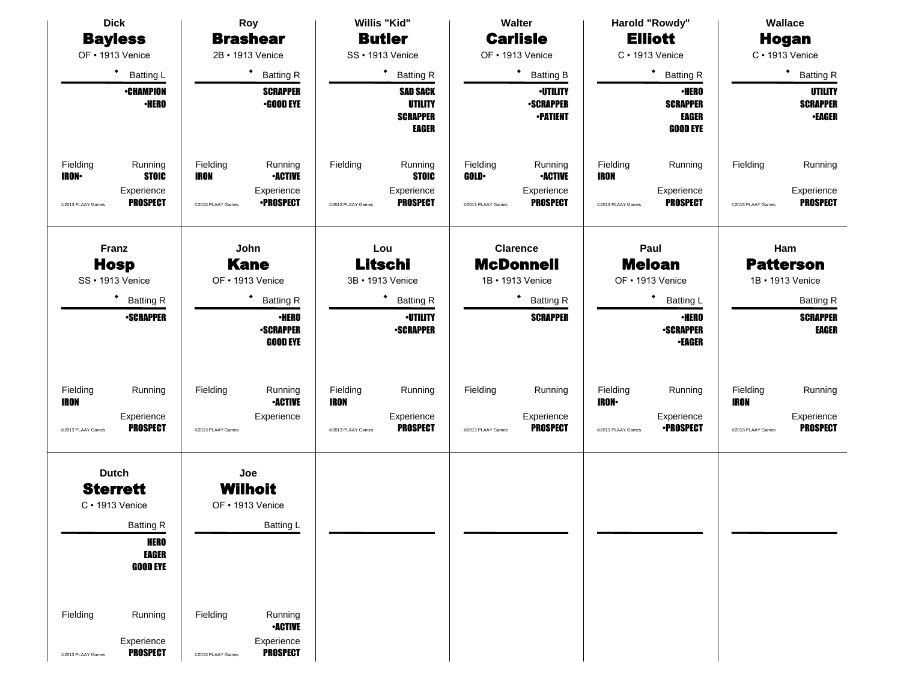| <b>Dick</b>                                                        | Roy                                                                | Willis "Kid"                                                         | Walter                                                             | Harold "Rowdy"                                                     | Wallace                                            |
|--------------------------------------------------------------------|--------------------------------------------------------------------|----------------------------------------------------------------------|--------------------------------------------------------------------|--------------------------------------------------------------------|----------------------------------------------------|
| <b>Bayless</b>                                                     | <b>Brashear</b>                                                    | <b>Butler</b>                                                        | <b>Carlisle</b>                                                    | <b>Elliott</b>                                                     | <b>Hogan</b>                                       |
| OF • 1913 Venice                                                   | 2B · 1913 Venice                                                   | SS · 1913 Venice                                                     | OF • 1913 Venice                                                   | $C \cdot 1913$ Venice                                              | $C \cdot 1913$ Venice                              |
| $\bullet$<br><b>Batting L</b>                                      | <b>Batting R</b>                                                   | ٠<br><b>Batting R</b>                                                | $\bullet$<br><b>Batting B</b>                                      | ٠<br><b>Batting R</b>                                              | $\bullet$<br><b>Batting R</b>                      |
| <b>-CHAMPION</b><br><b>•HERO</b>                                   | <b>SCRAPPER</b><br>$-$ GOOD EYE                                    | <b>SAD SACK</b><br><b>UTILITY</b><br><b>SCRAPPER</b><br><b>EAGER</b> | <b>-UTILITY</b><br><b>SCRAPPER</b><br><b>-PATIENT</b>              | <b>•HERO</b><br><b>SCRAPPER</b><br><b>EAGER</b><br><b>GOOD EYE</b> | <b>UTILITY</b><br><b>SCRAPPER</b><br><b>-EAGER</b> |
| Fielding<br>Running<br><b>STOIC</b><br><b>IRON-</b><br>Experience  | Fielding<br>Running<br><b>•ACTIVE</b><br><b>IRON</b><br>Experience | Fielding<br>Running<br><b>STOIC</b><br>Experience                    | Fielding<br>Running<br><b>-ACTIVE</b><br><b>GOLD</b><br>Experience | Fielding<br>Running<br><b>IRON</b><br>Experience                   | Fielding<br>Running<br>Experience                  |
| <b>PROSPECT</b><br>@2013 PLAAY Games                               | <b>•PROSPECT</b><br>@2013 PLAAY Games                              | <b>PROSPECT</b><br>@2013 PLAAY Games                                 | <b>PROSPECT</b><br>@2013 PLAAY Games                               | <b>PROSPECT</b><br>@2013 PLAAY Games                               | <b>PROSPECT</b><br>@2013 PLAAY Games               |
| Franz<br><b>Hosp</b><br>SS · 1913 Venice                           | John<br><b>Kane</b><br>OF • 1913 Venice                            | Lou<br>Litschi<br>3B • 1913 Venice                                   | <b>Clarence</b><br><b>McDonnell</b><br>1B • 1913 Venice            | Paul<br><b>Meloan</b><br>OF • 1913 Venice                          | Ham<br><b>Patterson</b><br>1B • 1913 Venice        |
| ٠                                                                  |                                                                    | ٠                                                                    |                                                                    | ٠                                                                  |                                                    |
| <b>Batting R</b><br><b>-SCRAPPER</b>                               | <b>Batting R</b><br><b>•HERO</b>                                   | <b>Batting R</b><br><b>-UTILITY</b>                                  | <b>Batting R</b><br><b>SCRAPPER</b>                                | Batting L<br><b>•HERO</b>                                          | <b>Batting R</b><br><b>SCRAPPER</b>                |
|                                                                    | <b>-SCRAPPER</b><br><b>GOOD EYE</b>                                | <b>-SCRAPPER</b>                                                     |                                                                    | <b>-SCRAPPER</b><br><b>•EAGER</b>                                  | EAGER                                              |
| Fielding<br>Running<br><b>IRON</b>                                 | Running<br>Fielding<br><b>-ACTIVE</b>                              | Fielding<br>Running<br><b>IRON</b>                                   | Fielding<br>Running                                                | Fielding<br>Running<br><b>IRON-</b>                                | Fielding<br>Running<br><b>IRON</b>                 |
| Experience<br><b>PROSPECT</b><br>@2013 PLAAY Games                 | Experience<br>@2013 PLAAY Games                                    | Experience<br><b>PROSPECT</b><br>@2013 PLAAY Games                   | Experience<br><b>PROSPECT</b><br>@2013 PLAAY Games                 | Experience<br><b>•PROSPECT</b><br>@2013 PLAAY Games                | Experience<br><b>PROSPECT</b><br>@2013 PLAAY Games |
| <b>Dutch</b><br><b>Sterrett</b><br>$C \cdot 1913$ Venice           | Joe<br><b>Wilhoit</b><br>OF • 1913 Venice                          |                                                                      |                                                                    |                                                                    |                                                    |
| <b>Batting R</b><br><b>HERO</b><br><b>EAGER</b><br><b>GOOD EYE</b> | Batting L                                                          |                                                                      |                                                                    |                                                                    |                                                    |
|                                                                    |                                                                    |                                                                      |                                                                    |                                                                    |                                                    |
| Fielding<br>Running<br>Experience                                  | Fielding<br>Running<br><b>•ACTIVE</b><br>Experience                |                                                                      |                                                                    |                                                                    |                                                    |
| <b>PROSPECT</b><br>@2013 PLAAY Games                               | <b>PROSPECT</b><br>@2013 PLAAY Games                               |                                                                      |                                                                    |                                                                    |                                                    |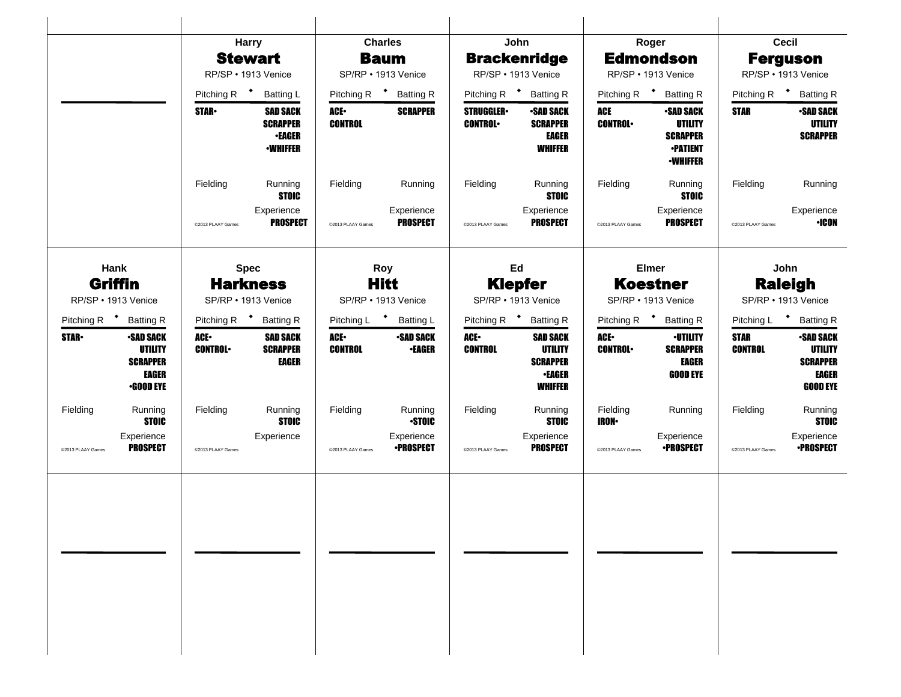|                   |                                                                                    |                         | <b>Harry</b>                                                           |                        | <b>Charles</b>                                   |                                    | John                                                                             |                           | Roger                                                                                       |                               | Cecil                                                                             |
|-------------------|------------------------------------------------------------------------------------|-------------------------|------------------------------------------------------------------------|------------------------|--------------------------------------------------|------------------------------------|----------------------------------------------------------------------------------|---------------------------|---------------------------------------------------------------------------------------------|-------------------------------|-----------------------------------------------------------------------------------|
|                   |                                                                                    |                         | <b>Stewart</b>                                                         |                        | <b>Baum</b>                                      |                                    | <b>Brackenridge</b>                                                              |                           | <b>Edmondson</b>                                                                            |                               | <b>Ferguson</b>                                                                   |
|                   |                                                                                    |                         | RP/SP · 1913 Venice                                                    |                        | SP/RP · 1913 Venice                              |                                    | RP/SP · 1913 Venice                                                              |                           | RP/SP • 1913 Venice                                                                         |                               | RP/SP · 1913 Venice                                                               |
|                   |                                                                                    | Pitching R <sup>+</sup> | <b>Batting L</b>                                                       |                        | Pitching R <sup>+</sup> Batting R                |                                    | Pitching R <sup>+</sup> Batting R                                                | Pitching R $\bullet$      | <b>Batting R</b>                                                                            |                               | Pitching R <b>*</b> Batting R                                                     |
|                   |                                                                                    | <b>STAR</b>             | <b>SAD SACK</b><br><b>SCRAPPER</b><br><b>•EAGER</b><br><b>•WHIFFER</b> | ACE-<br><b>CONTROL</b> | <b>SCRAPPER</b>                                  | <b>STRUGGLER</b><br><b>CONTROL</b> | <b>•SAD SACK</b><br><b>SCRAPPER</b><br><b>EAGER</b><br><b>WHIFFER</b>            | ACE<br><b>CONTROL</b>     | <b>•SAD SACK</b><br><b>UTILITY</b><br><b>SCRAPPER</b><br><b>•PATIENT</b><br><b>-WHIFFER</b> | <b>STAR</b>                   | <b>-SAD SACK</b><br><b>UTILITY</b><br><b>SCRAPPER</b>                             |
|                   |                                                                                    | Fielding                | Running<br><b>STOIC</b>                                                | Fielding               | Running                                          | Fielding                           | Running<br><b>STOIC</b>                                                          | Fielding                  | Running<br><b>STOIC</b>                                                                     | Fielding                      | Running                                                                           |
|                   |                                                                                    | @2013 PLAAY Games       | Experience<br><b>PROSPECT</b>                                          | @2013 PLAAY Games      | Experience<br><b>PROSPECT</b>                    | @2013 PLAAY Games                  | Experience<br><b>PROSPECT</b>                                                    | @2013 PLAAY Games         | Experience<br><b>PROSPECT</b>                                                               | @2013 PLAAY Games             | Experience<br><b>+ICON</b>                                                        |
|                   | Hank<br>Griffin<br>RP/SP • 1913 Venice                                             |                         | <b>Spec</b><br><b>Harkness</b><br>SP/RP • 1913 Venice                  |                        | <b>Roy</b><br><b>Hitt</b><br>SP/RP • 1913 Venice |                                    | Ed<br><b>Klepfer</b><br>SP/RP • 1913 Venice                                      |                           | <b>Elmer</b><br><b>Koestner</b><br>SP/RP • 1913 Venice                                      |                               | John<br><b>Raleigh</b><br>SP/RP • 1913 Venice                                     |
|                   | Pitching R <sup>+</sup> Batting R                                                  | Pitching R <sup>+</sup> | <b>Batting R</b>                                                       | Pitching L * Batting L |                                                  |                                    | Pitching R <sup>+</sup> Batting R                                                |                           | Pitching R <sup>+</sup><br><b>Batting R</b>                                                 |                               | Pitching L * Batting R                                                            |
| <b>STAR</b>       | <b>-SAD SACK</b><br><b>UTILITY</b><br><b>SCRAPPER</b><br>EAGER<br><b>•GOOD EYE</b> | ACE.<br><b>CONTROL</b>  | <b>SAD SACK</b><br><b>SCRAPPER</b><br>EAGER                            | ACE-<br><b>CONTROL</b> | <b>-SAD SACK</b><br><b>•EAGER</b>                | ACE.<br><b>CONTROL</b>             | <b>SAD SACK</b><br><b>UTILITY</b><br><b>SCRAPPER</b><br><b>•EAGER</b><br>WHIFFER | ACE.<br><b>CONTROL</b>    | <b>·UTILITY</b><br><b>SCRAPPER</b><br><b>EAGER</b><br><b>GOOD EYE</b>                       | <b>STAR</b><br><b>CONTROL</b> | <b>-SAD SACK</b><br><b>UTILITY</b><br><b>SCRAPPER</b><br>EAGER<br><b>GOOD EYE</b> |
| Fielding          | Running<br><b>STOIC</b>                                                            | Fielding                | Running<br><b>STOIC</b>                                                | Fielding               | Running<br><b>STOIC</b>                          | Fielding                           | Running<br><b>STOIC</b>                                                          | Fielding<br><b>IRON</b> • | Running                                                                                     | Fielding                      | Running<br><b>STOIC</b>                                                           |
| @2013 PLAAY Games | Experience<br><b>PROSPECT</b>                                                      | @2013 PLAAY Games       | Experience                                                             | @2013 PLAAY Games      | Experience<br><b>•PROSPECT</b>                   | @2013 PLAAY Games                  | Experience<br><b>PROSPECT</b>                                                    | @2013 PLAAY Games         | Experience<br><b>•PROSPECT</b>                                                              | @2013 PLAAY Games             | Experience<br><b>•PROSPECT</b>                                                    |
|                   |                                                                                    |                         |                                                                        |                        |                                                  |                                    |                                                                                  |                           |                                                                                             |                               |                                                                                   |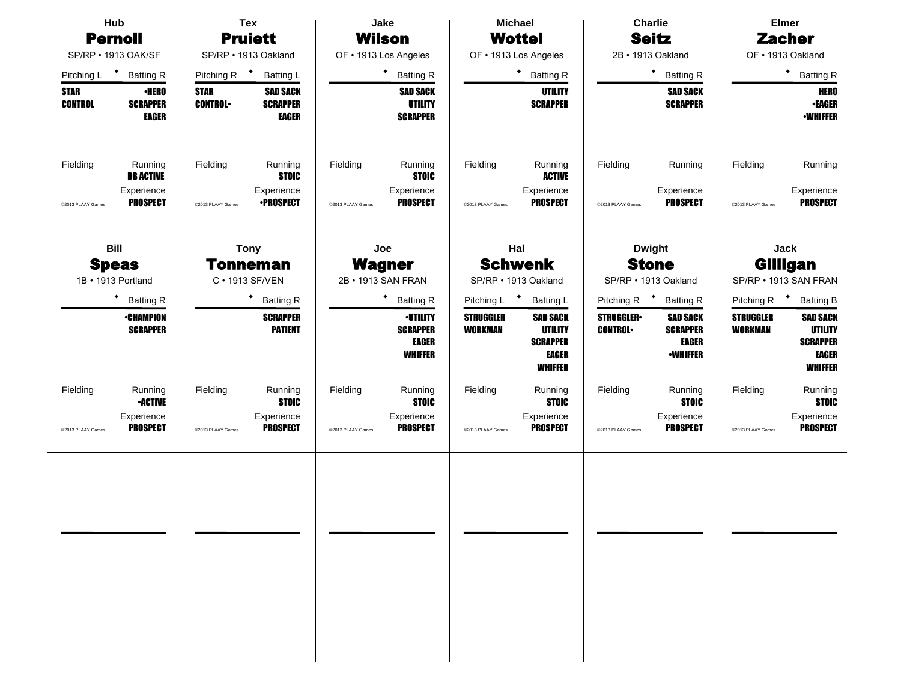| Hub                                |                                                              | <b>Tex</b>                    |                                                           | Jake                                |                                                                      | <b>Michael</b>                         |                                                                                        | <b>Charlie</b>                       |                                                                       | <b>Elmer</b>                       |                                                                                 |
|------------------------------------|--------------------------------------------------------------|-------------------------------|-----------------------------------------------------------|-------------------------------------|----------------------------------------------------------------------|----------------------------------------|----------------------------------------------------------------------------------------|--------------------------------------|-----------------------------------------------------------------------|------------------------------------|---------------------------------------------------------------------------------|
| <b>Pernoll</b>                     |                                                              | <b>Pruiett</b>                |                                                           | Wilson                              |                                                                      | <b>Wottel</b>                          |                                                                                        | <b>Seitz</b>                         |                                                                       | <b>Zacher</b>                      |                                                                                 |
| SP/RP · 1913 OAK/SF                |                                                              |                               | SP/RP · 1913 Oakland                                      |                                     | OF . 1913 Los Angeles                                                |                                        | OF . 1913 Los Angeles                                                                  |                                      | 2B · 1913 Oakland                                                     |                                    | OF . 1913 Oakland                                                               |
| Pitching L <sup>+</sup> Batting R  |                                                              | Pitching R <sup>+</sup>       | <b>Batting L</b>                                          |                                     | $\bullet$<br><b>Batting R</b>                                        |                                        | * Batting R                                                                            |                                      | * Batting R                                                           |                                    | $\bullet$<br><b>Batting R</b>                                                   |
| <b>STAR</b><br><b>CONTROL</b>      | <b>•HERO</b><br><b>SCRAPPER</b><br><b>EAGER</b>              | <b>STAR</b><br><b>CONTROL</b> | <b>SAD SACK</b><br><b>SCRAPPER</b><br>EAGER               |                                     | <b>SAD SACK</b><br><b>UTILITY</b><br><b>SCRAPPER</b>                 |                                        | <b>UTILITY</b><br><b>SCRAPPER</b>                                                      |                                      | <b>SAD SACK</b><br><b>SCRAPPER</b>                                    |                                    | <b>HERO</b><br><b>•EAGER</b><br><b>-WHIFFER</b>                                 |
| Fielding<br>@2013 PLAAY Games      | Running<br><b>DB ACTIVE</b><br>Experience<br><b>PROSPECT</b> | Fielding<br>@2013 PLAAY Games | Running<br><b>STOIC</b><br>Experience<br><b>•PROSPECT</b> | Fielding<br>@2013 PLAAY Games       | Running<br><b>STOIC</b><br>Experience<br><b>PROSPECT</b>             | Fielding<br>@2013 PLAAY Games          | Running<br><b>ACTIVE</b><br>Experience<br><b>PROSPECT</b>                              | Fielding<br>@2013 PLAAY Games        | Running<br>Experience<br><b>PROSPECT</b>                              | Fielding<br>@2013 PLAAY Games      | Running<br>Experience<br><b>PROSPECT</b>                                        |
| <b>Bill</b>                        |                                                              |                               | <b>Tony</b>                                               |                                     | Joe                                                                  |                                        | Hal                                                                                    |                                      | <b>Dwight</b>                                                         |                                    | <b>Jack</b>                                                                     |
| <b>Speas</b><br>1B · 1913 Portland |                                                              | Tonneman<br>C · 1913 SF/VEN   |                                                           | <b>Wagner</b><br>2B · 1913 SAN FRAN |                                                                      | <b>Schwenk</b><br>SP/RP · 1913 Oakland |                                                                                        | <b>Stone</b><br>SP/RP . 1913 Oakland |                                                                       | Gilligan<br>SP/RP . 1913 SAN FRAN  |                                                                                 |
|                                    | ٠<br><b>Batting R</b>                                        |                               | <b>Batting R</b>                                          |                                     | $\blacklozenge$<br><b>Batting R</b>                                  | Pitching L <sup>+</sup>                | <b>Batting L</b>                                                                       | Pitching R <sup>+</sup>              | <b>Batting R</b>                                                      | Pitching R <sup>+</sup>            | <b>Batting B</b>                                                                |
|                                    | <b>•CHAMPION</b><br><b>SCRAPPER</b>                          |                               | <b>SCRAPPER</b><br><b>PATIENT</b>                         |                                     | <b>-UTILITY</b><br><b>SCRAPPER</b><br><b>EAGER</b><br><b>WHIFFER</b> | <b>STRUGGLER</b><br><b>WORKMAN</b>     | <b>SAD SACK</b><br><b>UTILITY</b><br><b>SCRAPPER</b><br><b>EAGER</b><br><b>WHIFFER</b> | <b>STRUGGLER</b><br><b>CONTROL</b>   | <b>SAD SACK</b><br><b>SCRAPPER</b><br><b>EAGER</b><br><b>-WHIFFER</b> | <b>STRUGGLER</b><br><b>WORKMAN</b> | <b>SAD SACK</b><br><b>UTILITY</b><br><b>SCRAPPER</b><br>EAGER<br><b>WHIFFER</b> |
| Fielding                           | Running<br><b>•ACTIVE</b>                                    | Fielding                      | Running<br><b>STOIC</b>                                   | Fielding                            | Running<br><b>STOIC</b>                                              | Fielding                               | Running<br><b>STOIC</b>                                                                | Fielding                             | Running<br><b>STOIC</b>                                               | Fielding                           | Running<br><b>STOIC</b>                                                         |
| @2013 PLAAY Games                  | Experience<br>PROSPECT                                       | @2013 PLAAY Games             | Experience<br><b>PROSPECT</b>                             | @2013 PLAAY Games                   | Experience<br><b>PROSPECT</b>                                        | @2013 PLAAY Games                      | Experience<br><b>PROSPECT</b>                                                          | @2013 PLAAY Games                    | Experience<br><b>PROSPECT</b>                                         | @2013 PLAAY Games                  | Experience<br><b>PROSPECT</b>                                                   |
|                                    |                                                              |                               |                                                           |                                     |                                                                      |                                        |                                                                                        |                                      |                                                                       |                                    |                                                                                 |
|                                    |                                                              |                               |                                                           |                                     |                                                                      |                                        |                                                                                        |                                      |                                                                       |                                    |                                                                                 |